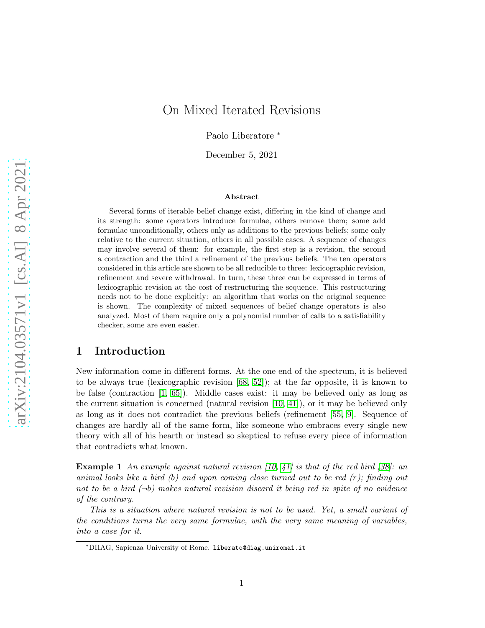# On Mixed Iterated Revisions

Paolo Liberatore <sup>∗</sup>

December 5, 2021

#### Abstract

Several forms of iterable belief change exist, differing in the kind of change and its strength: some operators introduce formulae, others remove them; some add formulae unconditionally, others only as additions to the previous beliefs; some only relative to the current situation, others in all possible cases. A sequence of changes may involve several of them: for example, the first step is a revision, the second a contraction and the third a refinement of the previous beliefs. The ten operators considered in this article are shown to be all reducible to three: lexicographic revision, refinement and severe withdrawal. In turn, these three can be expressed in terms of lexicographic revision at the cost of restructuring the sequence. This restructuring needs not to be done explicitly: an algorithm that works on the original sequence is shown. The complexity of mixed sequences of belief change operators is also analyzed. Most of them require only a polynomial number of calls to a satisfiability checker, some are even easier.

# 1 Introduction

New information come in different forms. At the one end of the spectrum, it is believed to be always true (lexicographic revision [\[68,](#page-48-0) [52\]](#page-46-0)); at the far opposite, it is known to be false (contraction [\[1,](#page-43-0) [65\]](#page-47-0)). Middle cases exist: it may be believed only as long as the current situation is concerned (natural revision [\[10,](#page-44-0) [41\]](#page-46-1)), or it may be believed only as long as it does not contradict the previous beliefs (refinement [\[55,](#page-47-1) [9\]](#page-43-1). Sequence of changes are hardly all of the same form, like someone who embraces every single new theory with all of his hearth or instead so skeptical to refuse every piece of information that contradicts what known.

**Example 1** An example against natural revision [\[10,](#page-44-0) [41\]](#page-46-1) is that of the red bird [\[38\]](#page-45-0): an animal looks like a bird  $(b)$  and upon coming close turned out to be red  $(r)$ ; finding out not to be a bird  $(\neg b)$  makes natural revision discard it being red in spite of no evidence of the contrary.

This is a situation where natural revision is not to be used. Yet, a small variant of the conditions turns the very same formulae, with the very same meaning of variables, into a case for it.

<sup>∗</sup>DIIAG, Sapienza University of Rome. liberato@diag.uniroma1.it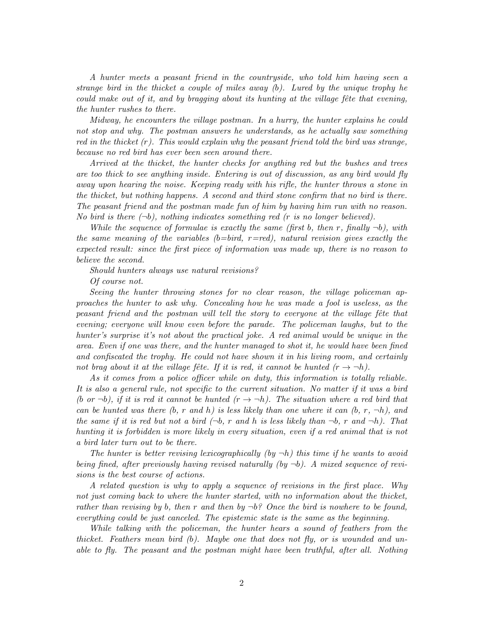A hunter meets a peasant friend in the countryside, who told him having seen a strange bird in the thicket a couple of miles away (b). Lured by the unique trophy he could make out of it, and by bragging about its hunting at the village fête that evening, the hunter rushes to there.

Midway, he encounters the village postman. In a hurry, the hunter explains he could not stop and why. The postman answers he understands, as he actually saw something red in the thicket  $(r)$ . This would explain why the peasant friend told the bird was strange, because no red bird has ever been seen around there.

Arrived at the thicket, the hunter checks for anything red but the bushes and trees are too thick to see anything inside. Entering is out of discussion, as any bird would fly away upon hearing the noise. Keeping ready with his rifle, the hunter throws a stone in the thicket, but nothing happens. A second and third stone confirm that no bird is there. The peasant friend and the postman made fun of him by having him run with no reason. No bird is there  $(\neg b)$ , nothing indicates something red (r is no longer believed).

While the sequence of formulae is exactly the same (first b, then r, finally  $\neg b$ ), with the same meaning of the variables  $(b=bird, r=red)$ , natural revision gives exactly the expected result: since the first piece of information was made up, there is no reason to believe the second.

Should hunters always use natural revisions?

Of course not.

Seeing the hunter throwing stones for no clear reason, the village policeman approaches the hunter to ask why. Concealing how he was made a fool is useless, as the peasant friend and the postman will tell the story to everyone at the village fête that evening; everyone will know even before the parade. The policeman laughs, but to the hunter's surprise it's not about the practical joke. A red animal would be unique in the area. Even if one was there, and the hunter managed to shot it, he would have been fined and confiscated the trophy. He could not have shown it in his living room, and certainly not brag about it at the village fête. If it is red, it cannot be hunted  $(r \to \neg h)$ .

As it comes from a police officer while on duty, this information is totally reliable. It is also a general rule, not specific to the current situation. No matter if it was a bird (b or  $\neg b$ ), if it is red it cannot be hunted  $(r \to \neg h)$ . The situation where a red bird that can be hunted was there (b, r and h) is less likely than one where it can (b, r,  $\neg h$ ), and the same if it is red but not a bird  $(\neg b, r \text{ and } h \text{ is less likely than } \neg b, r \text{ and } \neg h)$ . That hunting it is forbidden is more likely in every situation, even if a red animal that is not a bird later turn out to be there.

The hunter is better revising lexicographically  $(by -h)$  this time if he wants to avoid being fined, after previously having revised naturally (by  $\neg b$ ). A mixed sequence of revisions is the best course of actions.

A related question is why to apply a sequence of revisions in the first place. Why not just coming back to where the hunter started, with no information about the thicket, rather than revising by b, then r and then by  $\neg b$ ? Once the bird is nowhere to be found, everything could be just canceled. The epistemic state is the same as the beginning.

While talking with the policeman, the hunter hears a sound of feathers from the thicket. Feathers mean bird  $(b)$ . Maybe one that does not fly, or is wounded and unable to fly. The peasant and the postman might have been truthful, after all. Nothing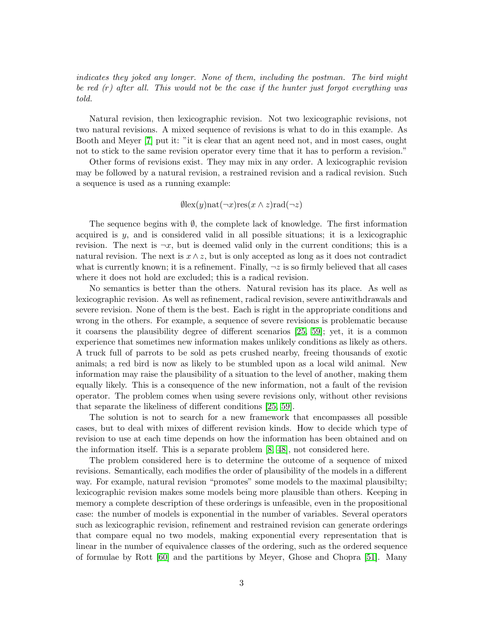indicates they joked any longer. None of them, including the postman. The bird might be red (r) after all. This would not be the case if the hunter just forgot everything was told.

Natural revision, then lexicographic revision. Not two lexicographic revisions, not two natural revisions. A mixed sequence of revisions is what to do in this example. As Booth and Meyer [\[7\]](#page-43-2) put it: "it is clear that an agent need not, and in most cases, ought not to stick to the same revision operator every time that it has to perform a revision."

Other forms of revisions exist. They may mix in any order. A lexicographic revision may be followed by a natural revision, a restrained revision and a radical revision. Such a sequence is used as a running example:

$$
\emptyset \text{lex}(y) \text{nat}(\neg x) \text{res}(x \land z) \text{rad}(\neg z)
$$

The sequence begins with *Ø*, the complete lack of knowledge. The first information acquired is  $y$ , and is considered valid in all possible situations; it is a lexicographic revision. The next is  $\neg x$ , but is deemed valid only in the current conditions; this is a natural revision. The next is  $x \wedge z$ , but is only accepted as long as it does not contradict what is currently known; it is a refinement. Finally,  $\neg z$  is so firmly believed that all cases where it does not hold are excluded; this is a radical revision.

No semantics is better than the others. Natural revision has its place. As well as lexicographic revision. As well as refinement, radical revision, severe antiwithdrawals and severe revision. None of them is the best. Each is right in the appropriate conditions and wrong in the others. For example, a sequence of severe revisions is problematic because it coarsens the plausibility degree of different scenarios [\[25,](#page-45-1) [59\]](#page-47-2); yet, it is a common experience that sometimes new information makes unlikely conditions as likely as others. A truck full of parrots to be sold as pets crushed nearby, freeing thousands of exotic animals; a red bird is now as likely to be stumbled upon as a local wild animal. New information may raise the plausibility of a situation to the level of another, making them equally likely. This is a consequence of the new information, not a fault of the revision operator. The problem comes when using severe revisions only, without other revisions that separate the likeliness of different conditions [\[25,](#page-45-1) [59\]](#page-47-2).

The solution is not to search for a new framework that encompasses all possible cases, but to deal with mixes of different revision kinds. How to decide which type of revision to use at each time depends on how the information has been obtained and on the information itself. This is a separate problem [\[8,](#page-43-3) [48\]](#page-46-2), not considered here.

The problem considered here is to determine the outcome of a sequence of mixed revisions. Semantically, each modifies the order of plausibility of the models in a different way. For example, natural revision "promotes" some models to the maximal plausibilty; lexicographic revision makes some models being more plausible than others. Keeping in memory a complete description of these orderings is unfeasible, even in the propositional case: the number of models is exponential in the number of variables. Several operators such as lexicographic revision, refinement and restrained revision can generate orderings that compare equal no two models, making exponential every representation that is linear in the number of equivalence classes of the ordering, such as the ordered sequence of formulae by Rott [\[60\]](#page-47-3) and the partitions by Meyer, Ghose and Chopra [\[51\]](#page-46-3). Many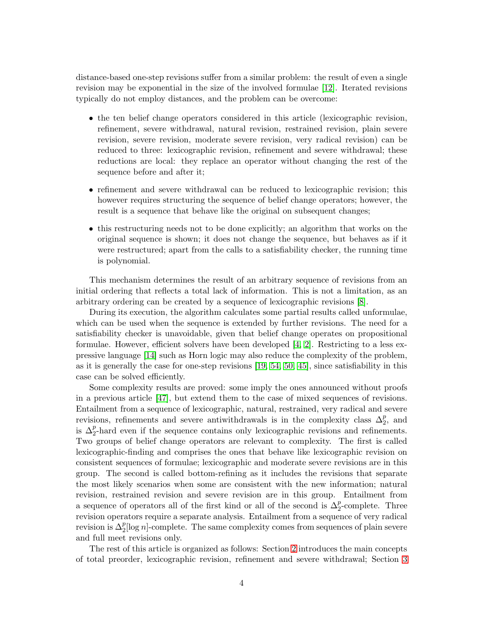distance-based one-step revisions suffer from a similar problem: the result of even a single revision may be exponential in the size of the involved formulae [\[12\]](#page-44-1). Iterated revisions typically do not employ distances, and the problem can be overcome:

- the ten belief change operators considered in this article (lexicographic revision, refinement, severe withdrawal, natural revision, restrained revision, plain severe revision, severe revision, moderate severe revision, very radical revision) can be reduced to three: lexicographic revision, refinement and severe withdrawal; these reductions are local: they replace an operator without changing the rest of the sequence before and after it;
- refinement and severe withdrawal can be reduced to lexicographic revision; this however requires structuring the sequence of belief change operators; however, the result is a sequence that behave like the original on subsequent changes;
- this restructuring needs not to be done explicitly; an algorithm that works on the original sequence is shown; it does not change the sequence, but behaves as if it were restructured; apart from the calls to a satisfiability checker, the running time is polynomial.

This mechanism determines the result of an arbitrary sequence of revisions from an initial ordering that reflects a total lack of information. This is not a limitation, as an arbitrary ordering can be created by a sequence of lexicographic revisions [\[8\]](#page-43-3).

During its execution, the algorithm calculates some partial results called unformulae, which can be used when the sequence is extended by further revisions. The need for a satisfiability checker is unavoidable, given that belief change operates on propositional formulae. However, efficient solvers have been developed [\[4,](#page-43-4) [2\]](#page-43-5). Restricting to a less expressive language [\[14\]](#page-44-2) such as Horn logic may also reduce the complexity of the problem, as it is generally the case for one-step revisions [\[19,](#page-44-3) [54,](#page-46-4) [50,](#page-46-5) [45\]](#page-46-6), since satisfiability in this case can be solved efficiently.

Some complexity results are proved: some imply the ones announced without proofs in a previous article [\[47\]](#page-46-7), but extend them to the case of mixed sequences of revisions. Entailment from a sequence of lexicographic, natural, restrained, very radical and severe revisions, refinements and severe antiwithdrawals is in the complexity class  $\Delta_2^p$ , and is  $\Delta_2^p$ -hard even if the sequence contains only lexicographic revisions and refinements. Two groups of belief change operators are relevant to complexity. The first is called lexicographic-finding and comprises the ones that behave like lexicographic revision on consistent sequences of formulae; lexicographic and moderate severe revisions are in this group. The second is called bottom-refining as it includes the revisions that separate the most likely scenarios when some are consistent with the new information; natural revision, restrained revision and severe revision are in this group. Entailment from a sequence of operators all of the first kind or all of the second is  $\Delta_2^p$ -complete. Three revision operators require a separate analysis. Entailment from a sequence of very radical revision is  $\Delta_2^p[\log n]$ -complete. The same complexity comes from sequences of plain severe and full meet revisions only.

The rest of this article is organized as follows: Section [2](#page-4-0) introduces the main concepts of total preorder, lexicographic revision, refinement and severe withdrawal; Section [3](#page-9-0)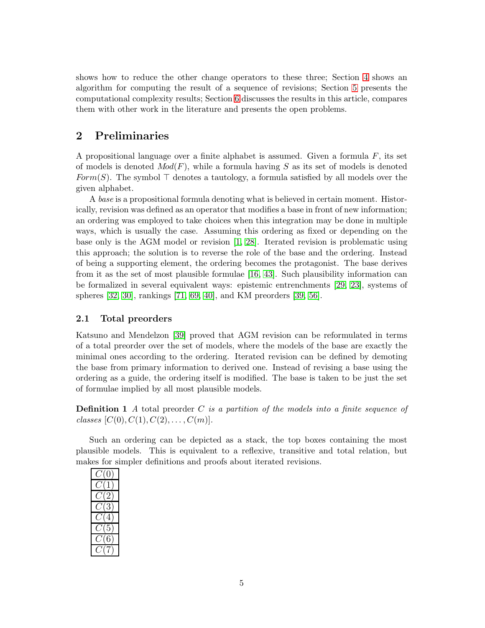shows how to reduce the other change operators to these three; Section [4](#page-18-0) shows an algorithm for computing the result of a sequence of revisions; Section [5](#page-28-0) presents the computational complexity results; Section [6](#page-40-0) discusses the results in this article, compares them with other work in the literature and presents the open problems.

# <span id="page-4-0"></span>2 Preliminaries

A propositional language over a finite alphabet is assumed. Given a formula  $F$ , its set of models is denoted  $Mod(F)$ , while a formula having S as its set of models is denoted Form(S). The symbol  $\top$  denotes a tautology, a formula satisfied by all models over the given alphabet.

A base is a propositional formula denoting what is believed in certain moment. Historically, revision was defined as an operator that modifies a base in front of new information; an ordering was employed to take choices when this integration may be done in multiple ways, which is usually the case. Assuming this ordering as fixed or depending on the base only is the AGM model or revision [\[1,](#page-43-0) [28\]](#page-45-2). Iterated revision is problematic using this approach; the solution is to reverse the role of the base and the ordering. Instead of being a supporting element, the ordering becomes the protagonist. The base derives from it as the set of most plausible formulae [\[16,](#page-44-4) [43\]](#page-46-8). Such plausibility information can be formalized in several equivalent ways: epistemic entrenchments [\[29,](#page-45-3) [23\]](#page-44-5), systems of spheres [\[32,](#page-45-4) [30\]](#page-45-5), rankings [\[71,](#page-48-1) [69,](#page-48-2) [40\]](#page-46-9), and KM preorders [\[39,](#page-45-6) [56\]](#page-47-4).

# 2.1 Total preorders

Katsuno and Mendelzon [\[39\]](#page-45-6) proved that AGM revision can be reformulated in terms of a total preorder over the set of models, where the models of the base are exactly the minimal ones according to the ordering. Iterated revision can be defined by demoting the base from primary information to derived one. Instead of revising a base using the ordering as a guide, the ordering itself is modified. The base is taken to be just the set of formulae implied by all most plausible models.

**Definition 1** A total preorder C is a partition of the models into a finite sequence of classes  $[C(0), C(1), C(2), \ldots, C(m)].$ 

Such an ordering can be depicted as a stack, the top boxes containing the most plausible models. This is equivalent to a reflexive, transitive and total relation, but makes for simpler definitions and proofs about iterated revisions.

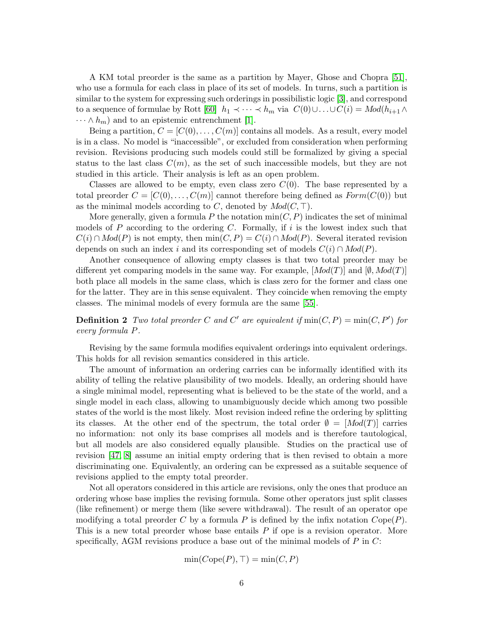A KM total preorder is the same as a partition by Mayer, Ghose and Chopra [\[51\]](#page-46-3), who use a formula for each class in place of its set of models. In turns, such a partition is similar to the system for expressing such orderings in possibilistic logic [\[3\]](#page-43-6), and correspond to a sequence of formulae by Rott [\[60\]](#page-47-3)  $h_1 \prec \cdots \prec h_m$  via  $C(0) \cup \ldots \cup C(i) = Mod(h_{i+1} \wedge$  $\cdots \wedge h_m$ ) and to an epistemic entrenchment [\[1\]](#page-43-0).

Being a partition,  $C = [C(0), \ldots, C(m)]$  contains all models. As a result, every model is in a class. No model is "inaccessible", or excluded from consideration when performing revision. Revisions producing such models could still be formalized by giving a special status to the last class  $C(m)$ , as the set of such inaccessible models, but they are not studied in this article. Their analysis is left as an open problem.

Classes are allowed to be empty, even class zero  $C(0)$ . The base represented by a total preorder  $C = [C(0), \ldots, C(m)]$  cannot therefore being defined as  $Form(C(0))$  but as the minimal models according to C, denoted by  $Mod(C, \top)$ .

More generally, given a formula P the notation  $\min(C, P)$  indicates the set of minimal models of  $P$  according to the ordering  $C$ . Formally, if  $i$  is the lowest index such that  $C(i) \cap Mod(P)$  is not empty, then  $min(C, P) = C(i) \cap Mod(P)$ . Several iterated revision depends on such an index i and its corresponding set of models  $C(i) \cap Mod(P)$ .

Another consequence of allowing empty classes is that two total preorder may be different yet comparing models in the same way. For example,  $[Mod(T)]$  and  $[Ø, Mod(T)]$ both place all models in the same class, which is class zero for the former and class one for the latter. They are in this sense equivalent. They coincide when removing the empty classes. The minimal models of every formula are the same [\[55\]](#page-47-1).

**Definition 2** Two total preorder C and C' are equivalent if  $min(C, P) = min(C, P')$  for every formula P.

Revising by the same formula modifies equivalent orderings into equivalent orderings. This holds for all revision semantics considered in this article.

The amount of information an ordering carries can be informally identified with its ability of telling the relative plausibility of two models. Ideally, an ordering should have a single minimal model, representing what is believed to be the state of the world, and a single model in each class, allowing to unambiguously decide which among two possible states of the world is the most likely. Most revision indeed refine the ordering by splitting its classes. At the other end of the spectrum, the total order  $\emptyset = [Mod(T)]$  carries no information: not only its base comprises all models and is therefore tautological, but all models are also considered equally plausible. Studies on the practical use of revision [\[47,](#page-46-7) [8\]](#page-43-3) assume an initial empty ordering that is then revised to obtain a more discriminating one. Equivalently, an ordering can be expressed as a suitable sequence of revisions applied to the empty total preorder.

Not all operators considered in this article are revisions, only the ones that produce an ordering whose base implies the revising formula. Some other operators just split classes (like refinement) or merge them (like severe withdrawal). The result of an operator ope modifying a total preorder C by a formula P is defined by the infix notation  $Cope(P)$ . This is a new total preorder whose base entails P if ope is a revision operator. More specifically, AGM revisions produce a base out of the minimal models of  $P$  in  $C$ :

$$
\min(Cope(P),\top)=\min(C,P)
$$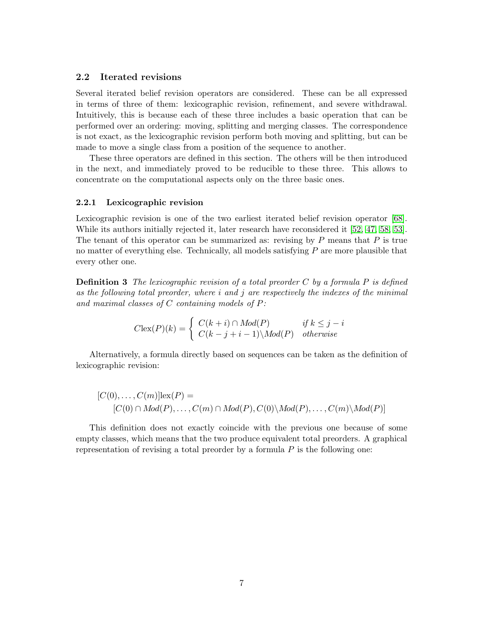### 2.2 Iterated revisions

Several iterated belief revision operators are considered. These can be all expressed in terms of three of them: lexicographic revision, refinement, and severe withdrawal. Intuitively, this is because each of these three includes a basic operation that can be performed over an ordering: moving, splitting and merging classes. The correspondence is not exact, as the lexicographic revision perform both moving and splitting, but can be made to move a single class from a position of the sequence to another.

These three operators are defined in this section. The others will be then introduced in the next, and immediately proved to be reducible to these three. This allows to concentrate on the computational aspects only on the three basic ones.

### 2.2.1 Lexicographic revision

Lexicographic revision is one of the two earliest iterated belief revision operator [\[68\]](#page-48-0). While its authors initially rejected it, later research have reconsidered it [\[52,](#page-46-0) [47,](#page-46-7) [58,](#page-47-5) [53\]](#page-46-10). The tenant of this operator can be summarized as: revising by  $P$  means that  $P$  is true no matter of everything else. Technically, all models satisfying  $P$  are more plausible that every other one.

**Definition 3** The lexicographic revision of a total preorder C by a formula P is defined as the following total preorder, where  $i$  and  $j$  are respectively the indexes of the minimal and maximal classes of  $C$  containing models of  $P$ :

$$
C\text{lex}(P)(k) = \begin{cases} C(k+i) \cap Mod(P) & \text{if } k \le j-i\\ C(k-j+i-1) \setminus Mod(P) & \text{otherwise} \end{cases}
$$

Alternatively, a formula directly based on sequences can be taken as the definition of lexicographic revision:

$$
[C(0),...,C(m)]\text{lex}(P) =
$$
  

$$
[C(0) \cap Mod(P),...,C(m) \cap Mod(P),C(0)\backslash Mod(P),...,C(m)\backslash Mod(P)]
$$

This definition does not exactly coincide with the previous one because of some empty classes, which means that the two produce equivalent total preorders. A graphical representation of revising a total preorder by a formula  $P$  is the following one: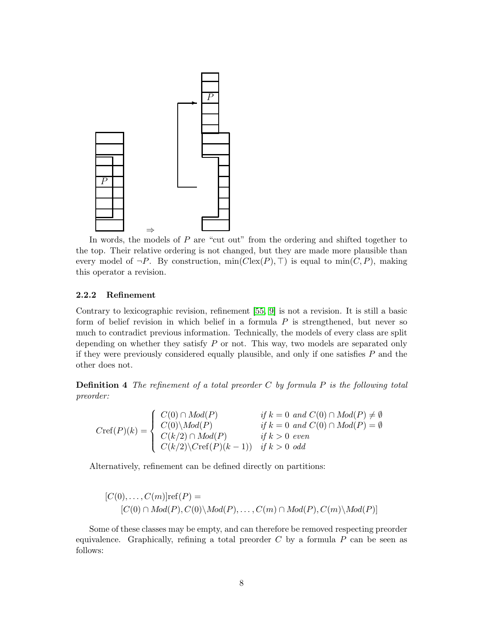

In words, the models of  $P$  are "cut out" from the ordering and shifted together to the top. Their relative ordering is not changed, but they are made more plausible than every model of  $\neg P$ . By construction, min( $C$ lex $(P)$ ,  $\neg$ ) is equal to min( $C, P$ ), making this operator a revision.

#### 2.2.2 Refinement

Contrary to lexicographic revision, refinement [\[55,](#page-47-1) [9\]](#page-43-1) is not a revision. It is still a basic form of belief revision in which belief in a formula  $P$  is strengthened, but never so much to contradict previous information. Technically, the models of every class are split depending on whether they satisfy  $P$  or not. This way, two models are separated only if they were previously considered equally plausible, and only if one satisfies  $P$  and the other does not.

**Definition 4** The refinement of a total preorder  $C$  by formula  $P$  is the following total preorder:

 $Cref(P)(k) =$  $\sqrt{ }$  $\int$  $\overline{\mathcal{L}}$  $C(0) \cap Mod(P)$  if  $k = 0$  and  $C(0) \cap Mod(P) \neq \emptyset$  $C(0)\backslash Mod(P)$  if  $k = 0$  and  $C(0) \cap Mod(P) = \emptyset$  $C(k/2) \cap Mod(P)$  if  $k > 0$  even  $C(k/2)\setminus Cref(P)(k-1)$  if  $k > 0$  odd

Alternatively, refinement can be defined directly on partitions:

$$
[C(0),...,C(m)]ref(P) =
$$
  

$$
[C(0) \cap Mod(P), C(0) \setminus Mod(P),..., C(m) \cap Mod(P), C(m) \setminus Mod(P)]
$$

Some of these classes may be empty, and can therefore be removed respecting preorder equivalence. Graphically, refining a total preorder  $C$  by a formula  $P$  can be seen as follows: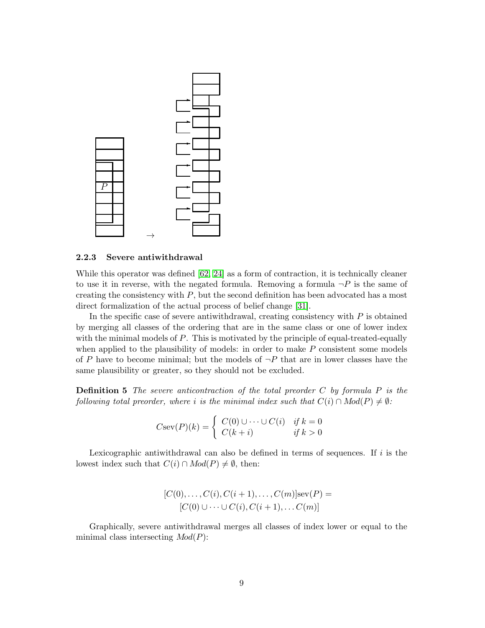

### 2.2.3 Severe antiwithdrawal

While this operator was defined [\[62,](#page-47-6) [24\]](#page-44-6) as a form of contraction, it is technically cleaner to use it in reverse, with the negated formula. Removing a formula  $\neg P$  is the same of creating the consistency with  $P$ , but the second definition has been advocated has a most direct formalization of the actual process of belief change [\[31\]](#page-45-7).

In the specific case of severe antiwithdrawal, creating consistency with  $P$  is obtained by merging all classes of the ordering that are in the same class or one of lower index with the minimal models of  $P$ . This is motivated by the principle of equal-treated-equally when applied to the plausibility of models: in order to make  $P$  consistent some models of P have to become minimal; but the models of  $\neg P$  that are in lower classes have the same plausibility or greater, so they should not be excluded.

**Definition 5** The severe anticontraction of the total preorder  $C$  by formula  $P$  is the following total preorder, where i is the minimal index such that  $C(i) \cap Mod(P) \neq \emptyset$ :

$$
Csev(P)(k) = \begin{cases} C(0) \cup \cdots \cup C(i) & if \ k = 0 \\ C(k+i) & if \ k > 0 \end{cases}
$$

Lexicographic antiwithdrawal can also be defined in terms of sequences. If  $i$  is the lowest index such that  $C(i) \cap Mod(P) \neq \emptyset$ , then:

$$
[C(0),...,C(i),C(i+1),...,C(m)]\text{sev}(P) = [C(0) \cup \cdots \cup C(i),C(i+1),...C(m)]
$$

Graphically, severe antiwithdrawal merges all classes of index lower or equal to the minimal class intersecting  $Mod(P)$ :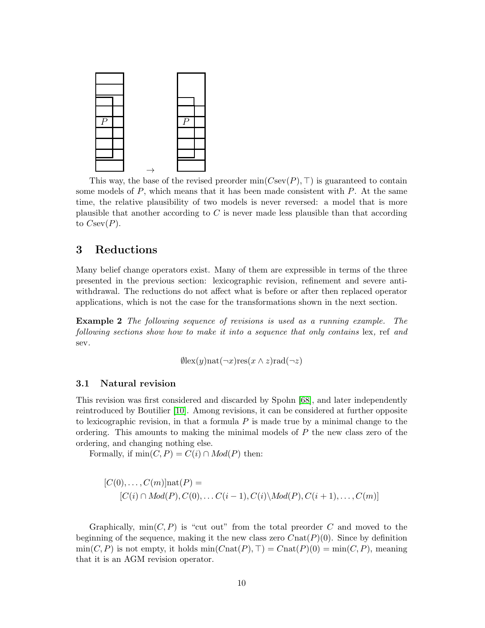

This way, the base of the revised preorder min( $C\text{sev}(P)$ , ⊤) is guaranteed to contain some models of  $P$ , which means that it has been made consistent with  $P$ . At the same time, the relative plausibility of two models is never reversed: a model that is more plausible that another according to  $C$  is never made less plausible than that according to  $C\text{sev}(P)$ .

# <span id="page-9-0"></span>3 Reductions

Many belief change operators exist. Many of them are expressible in terms of the three presented in the previous section: lexicographic revision, refinement and severe antiwithdrawal. The reductions do not affect what is before or after then replaced operator applications, which is not the case for the transformations shown in the next section.

Example 2 The following sequence of revisions is used as a running example. The following sections show how to make it into a sequence that only contains lex, ref and sev.

$$
\emptyset \text{lex}(y) \text{nat}(\neg x) \text{res}(x \land z) \text{rad}(\neg z)
$$

# 3.1 Natural revision

This revision was first considered and discarded by Spohn [\[68\]](#page-48-0), and later independently reintroduced by Boutilier [\[10\]](#page-44-0). Among revisions, it can be considered at further opposite to lexicographic revision, in that a formula  $P$  is made true by a minimal change to the ordering. This amounts to making the minimal models of  $P$  the new class zero of the ordering, and changing nothing else.

Formally, if  $min(C, P) = C(i) \cap Mod(P)$  then:

$$
[C(0),...,C(m)]\text{nat}(P) =
$$
  

$$
[C(i) \cap Mod(P), C(0),... C(i-1), C(i) \backslash Mod(P), C(i+1),..., C(m)]
$$

Graphically,  $\min(C, P)$  is "cut out" from the total preorder C and moved to the beginning of the sequence, making it the new class zero  $Cnat(P)(0)$ . Since by definition  $min(C, P)$  is not empty, it holds  $min(Cnat(P), T) = Cnat(P)(0) = min(C, P)$ , meaning that it is an AGM revision operator.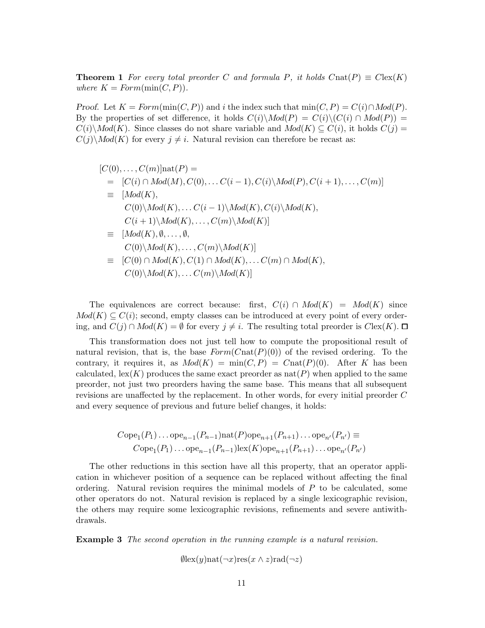**Theorem 1** For every total preorder C and formula P, it holds  $C$ nat $(P) \equiv C \text{lex}(K)$ where  $K = Form(min(C, P)).$ 

Proof. Let  $K = Form(\min(C, P))$  and i the index such that  $\min(C, P) = C(i) \cap Mod(P)$ . By the properties of set difference, it holds  $C(i)\backslash Mod(P) = C(i)\backslash (C(i) \cap Mod(P)) =$  $C(i)\backslash Mod(K)$ . Since classes do not share variable and  $Mod(K) \subseteq C(i)$ , it holds  $C(j)$  $C(j)\backslash Mod(K)$  for every  $j \neq i$ . Natural revision can therefore be recast as:

$$
[C(0),..., C(m)]nat(P) =
$$
  
\n
$$
= [C(i) \cap Mod(M), C(0),... C(i-1), C(i) \setminus Mod(P), C(i+1),..., C(m)]
$$
  
\n
$$
\equiv [Mod(K),
$$
  
\n
$$
C(0) \setminus Mod(K),... C(i-1) \setminus Mod(K), C(i) \setminus Mod(K),
$$
  
\n
$$
C(i+1) \setminus Mod(K),..., C(m) \setminus Mod(K)]
$$
  
\n
$$
\equiv [Mod(K), \emptyset, ..., \emptyset,
$$
  
\n
$$
C(0) \setminus Mod(K),..., C(m) \setminus Mod(K)]
$$
  
\n
$$
\equiv [C(0) \cap Mod(K), C(1) \cap Mod(K),... C(m) \cap Mod(K),
$$
  
\n
$$
C(0) \setminus Mod(K),... C(m) \setminus Mod(K)]
$$

The equivalences are correct because: first,  $C(i) \cap Mod(K) = Mod(K)$  since  $Mod(K) \subseteq C(i)$ ; second, empty classes can be introduced at every point of every ordering, and  $C(j) \cap Mod(K) = \emptyset$  for every  $j \neq i$ . The resulting total preorder is  $Clex(K)$ .  $\Box$ 

This transformation does not just tell how to compute the propositional result of natural revision, that is, the base  $Form(Cnat(P)(0))$  of the revised ordering. To the contrary, it requires it, as  $Mod(K) = min(C, P) = Cnat(P)(0)$ . After K has been calculated, lex(K) produces the same exact preorder as  $nat(P)$  when applied to the same preorder, not just two preorders having the same base. This means that all subsequent revisions are unaffected by the replacement. In other words, for every initial preorder C and every sequence of previous and future belief changes, it holds:

Cope<sub>1</sub>(P<sub>1</sub>)...ope<sub>n-1</sub>(P<sub>n-1</sub>)nat(P)ope<sub>n+1</sub>(P<sub>n+1</sub>)...ope<sub>n'</sub>(P<sub>n'</sub>) 
$$
\equiv
$$
  
Cope<sub>1</sub>(P<sub>1</sub>)...ope<sub>n-1</sub>(P<sub>n-1</sub>)lex(K)ope<sub>n+1</sub>(P<sub>n+1</sub>)...ope<sub>n'</sub>(P<sub>n'</sub>)

The other reductions in this section have all this property, that an operator application in whichever position of a sequence can be replaced without affecting the final ordering. Natural revision requires the minimal models of  $P$  to be calculated, some other operators do not. Natural revision is replaced by a single lexicographic revision, the others may require some lexicographic revisions, refinements and severe antiwithdrawals.

**Example 3** The second operation in the running example is a natural revision.

$$
\emptyset \text{lex}(y) \text{nat}(\neg x) \text{res}(x \wedge z) \text{rad}(\neg z)
$$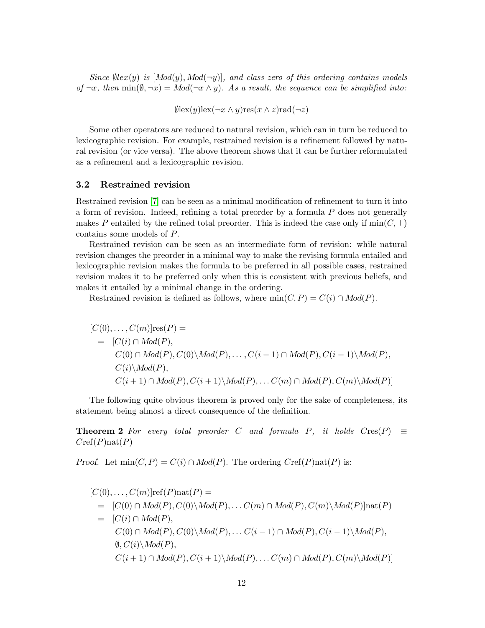Since  $\emptyset$ lex(y) is  $[Mod(y), Mod(\neg y)]$ , and class zero of this ordering contains models of  $\neg x$ , then  $\min(\emptyset, \neg x) = Mod(\neg x \wedge y)$ . As a result, the sequence can be simplified into:

 $\emptyset$ lex $(y)$ lex $(\neg x \land y)$ res $(x \land z)$ rad $(\neg z)$ 

Some other operators are reduced to natural revision, which can in turn be reduced to lexicographic revision. For example, restrained revision is a refinement followed by natural revision (or vice versa). The above theorem shows that it can be further reformulated as a refinement and a lexicographic revision.

# 3.2 Restrained revision

Restrained revision [\[7\]](#page-43-2) can be seen as a minimal modification of refinement to turn it into a form of revision. Indeed, refining a total preorder by a formula P does not generally makes P entailed by the refined total preorder. This is indeed the case only if  $min(C, \top)$ contains some models of P.

Restrained revision can be seen as an intermediate form of revision: while natural revision changes the preorder in a minimal way to make the revising formula entailed and lexicographic revision makes the formula to be preferred in all possible cases, restrained revision makes it to be preferred only when this is consistent with previous beliefs, and makes it entailed by a minimal change in the ordering.

Restrained revision is defined as follows, where  $min(C, P) = C(i) \cap Mod(P)$ .

$$
[C(0),...,C(m)]\text{res}(P) =
$$
  
= [C(i) \cap Mod(P),  
C(0) \cap Mod(P), C(0)\backslash Mod(P),..., C(i - 1) \cap Mod(P), C(i - 1)\backslash Mod(P),  
C(i)\backslash Mod(P),  
C(i + 1) \cap Mod(P), C(i + 1)\backslash Mod(P),... C(m) \cap Mod(P), C(m)\backslash Mod(P)]

The following quite obvious theorem is proved only for the sake of completeness, its statement being almost a direct consequence of the definition.

**Theorem 2** For every total preorder C and formula P, it holds  $Cres(P) \equiv$  $Cref(P)$ nat $(P)$ 

*Proof.* Let  $min(C, P) = C(i) \cap Mod(P)$ . The ordering  $Cref(P)nat(P)$  is:

$$
[C(0),...,C(m)]ref(P)nat(P) =
$$
  
\n
$$
= [C(0) \cap Mod(P), C(0) \setminus Mod(P),..., C(m) \cap Mod(P), C(m) \setminus Mod(P)]nat(P)
$$
  
\n
$$
= [C(i) \cap Mod(P),
$$
  
\n
$$
C(0) \cap Mod(P), C(0) \setminus Mod(P),..., C(i-1) \cap Mod(P), C(i-1) \setminus Mod(P),
$$
  
\n
$$
\emptyset, C(i) \setminus Mod(P),
$$
  
\n
$$
C(i+1) \cap Mod(P), C(i+1) \setminus Mod(P),... C(m) \cap Mod(P), C(m) \setminus Mod(P)]
$$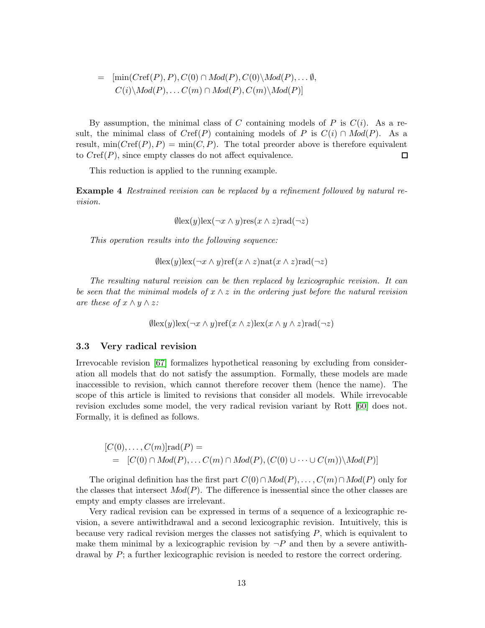$$
= \left[\min(C\text{ref}(P), P), C(0) \cap Mod(P), C(0) \backslash Mod(P), \dots \emptyset, \\ C(i) \backslash Mod(P), \dots C(m) \cap Mod(P), C(m) \backslash Mod(P)\right]
$$

By assumption, the minimal class of C containing models of P is  $C(i)$ . As a result, the minimal class of  $Cref(P)$  containing models of P is  $C(i) \cap Mod(P)$ . As a result,  $\min(Cref(P), P) = \min(C, P)$ . The total preorder above is therefore equivalent to  $Cref(P)$ , since empty classes do not affect equivalence.  $\Box$ 

This reduction is applied to the running example.

Example 4 Restrained revision can be replaced by a refinement followed by natural revision.

 $\theta$ lex $(y)$ lex $(\neg x \wedge y)$ res $(x \wedge z)$ rad $(\neg z)$ 

This operation results into the following sequence:

$$
\emptyset \text{lex}(y) \text{lex}(\neg x \land y) \text{ref}(x \land z) \text{nat}(x \land z) \text{rad}(\neg z)
$$

The resulting natural revision can be then replaced by lexicographic revision. It can be seen that the minimal models of  $x \wedge z$  in the ordering just before the natural revision are these of  $x \wedge y \wedge z$ :

$$
\emptyset \text{lex}(y) \text{lex}(\neg x \land y) \text{ref}(x \land z) \text{lex}(x \land y \land z) \text{rad}(\neg z)
$$

### 3.3 Very radical revision

Irrevocable revision [\[67\]](#page-47-7) formalizes hypothetical reasoning by excluding from consideration all models that do not satisfy the assumption. Formally, these models are made inaccessible to revision, which cannot therefore recover them (hence the name). The scope of this article is limited to revisions that consider all models. While irrevocable revision excludes some model, the very radical revision variant by Rott [\[60\]](#page-47-3) does not. Formally, it is defined as follows.

$$
[C(0),...,C(m)]\text{rad}(P) =
$$
  
= [C(0)  $\cap$  Mod(P),..., C(m)  $\cap$  Mod(P), (C(0)  $\cup \cdots \cup C(m)$ )\backslash Mod(P)]

The original definition has the first part  $C(0) \cap Mod(P), \ldots, C(m) \cap Mod(P)$  only for the classes that intersect  $Mod(P)$ . The difference is inessential since the other classes are empty and empty classes are irrelevant.

Very radical revision can be expressed in terms of a sequence of a lexicographic revision, a severe antiwithdrawal and a second lexicographic revision. Intuitively, this is because very radical revision merges the classes not satisfying  $P$ , which is equivalent to make them minimal by a lexicographic revision by  $\neg P$  and then by a severe antiwithdrawal by  $P$ ; a further lexicographic revision is needed to restore the correct ordering.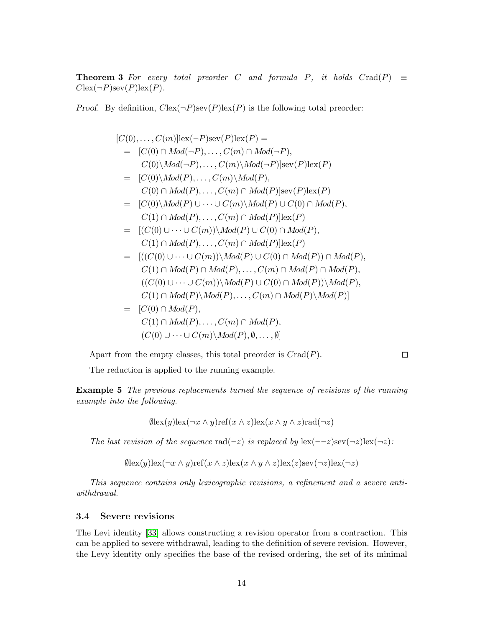**Theorem 3** For every total preorder C and formula P, it holds  $C \text{rad}(P) \equiv$  $C$ lex $(\neg P)$ sev $(P)$ lex $(P)$ .

*Proof.* By definition,  $C\text{lex}(\neg P)\text{sex}(P)\text{lex}(P)$  is the following total preorder:

$$
[C(0),...,C(m)]lex(\neg P)sex(P)lex(P) =
$$
\n
$$
= [C(0) \cap Mod(\neg P),...,C(m) \cap Mod(\neg P),
$$
\n
$$
C(0)\backslash Mod(\neg P),...,C(m)\backslash Mod(\neg P)]sex(P)lex(P)
$$
\n
$$
= [C(0)\backslash Mod(P),...,C(m)\backslash Mod(P),
$$
\n
$$
C(0) \cap Mod(P),...,C(m) \cap Mod(P)]sex(P)lex(P)
$$
\n
$$
= [C(0)\backslash Mod(P) \cup \cdots \cup C(m)\backslash Mod(P) \cup C(0) \cap Mod(P),
$$
\n
$$
C(1) \cap Mod(P),...,C(m) \cap Mod(P)]lex(P)
$$
\n
$$
= [(C(0) \cup \cdots \cup C(m))\backslash Mod(P) \cup C(0) \cap Mod(P),
$$
\n
$$
C(1) \cap Mod(P),...,C(m) \cap Mod(P)]lex(P)
$$
\n
$$
= [((C(0) \cup \cdots \cup C(m))\backslash Mod(P) \cup C(0) \cap Mod(P)) \cap Mod(P),
$$
\n
$$
C(1) \cap Mod(P) \cap Mod(P),...,C(m) \cap Mod(P) \cap Mod(P),
$$
\n
$$
((C(0) \cup \cdots \cup C(m))\backslash Mod(P) \cup C(0) \cap Mod(P))\backslash Mod(P),
$$
\n
$$
C(1) \cap Mod(P)\backslash Mod(P),...,C(m) \cap Mod(P)\backslash Mod(P),
$$
\n
$$
= [C(0) \cap Mod(P),
$$
\n
$$
C(1) \cap Mod(P),...,C(m) \cap Mod(P),
$$
\n
$$
C(0) \cup \cdots \cup C(m)\backslash Mod(P), \emptyset, ..., \emptyset]
$$

Apart from the empty classes, this total preorder is  $Crad(P)$ .

 $\Box$ 

The reduction is applied to the running example.

Example 5 The previous replacements turned the sequence of revisions of the running example into the following.

 $\emptyset$ lex $(y)$ lex $(\neg x \land y)$ ref $(x \land z)$ lex $(x \land y \land z)$ rad $(\neg z)$ 

The last revision of the sequence  $rad(\neg z)$  is replaced by  $lex(\neg z)sec(\neg z)[ex(\neg z)$ :

 $\theta$ lex $(y)$ lex $(\neg x \land y)$ ref $(x \land z)$ lex $(x \land y \land z)$ lex $(z)$ sev $(\neg z)$ lex $(\neg z)$ 

This sequence contains only lexicographic revisions, a refinement and a severe antiwithdrawal.

# 3.4 Severe revisions

The Levi identity [\[33\]](#page-45-8) allows constructing a revision operator from a contraction. This can be applied to severe withdrawal, leading to the definition of severe revision. However, the Levy identity only specifies the base of the revised ordering, the set of its minimal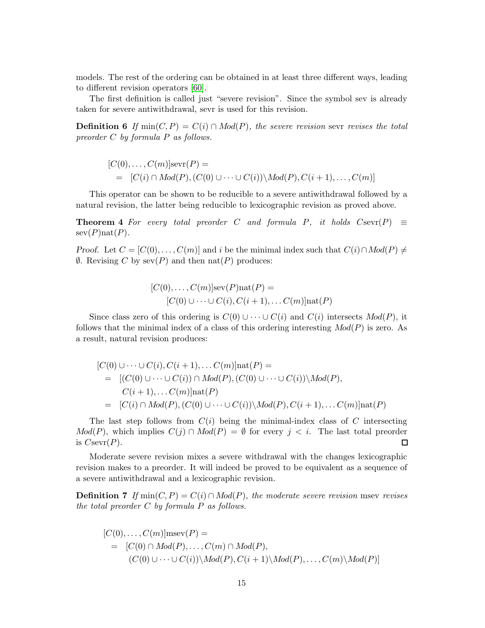models. The rest of the ordering can be obtained in at least three different ways, leading to different revision operators [\[60\]](#page-47-3).

The first definition is called just "severe revision". Since the symbol sev is already taken for severe antiwithdrawal, sevr is used for this revision.

**Definition 6** If min(C, P) =  $C(i) \cap Mod(P)$ , the severe revision sever revises the total preorder C by formula P as follows.

$$
[C(0),...,C(m)]\text{sevr}(P) =
$$
  
= 
$$
[C(i) \cap Mod(P), (C(0) \cup \cdots \cup C(i)) \setminus Mod(P), C(i+1),..., C(m)]
$$

This operator can be shown to be reducible to a severe antiwithdrawal followed by a natural revision, the latter being reducible to lexicographic revision as proved above.

**Theorem 4** For every total preorder C and formula P, it holds  $C\text{sevr}(P) \equiv$  $\text{sev}(P)\text{nat}(P)$ .

Proof. Let  $C = [C(0), \ldots, C(m)]$  and i be the minimal index such that  $C(i) \cap Mod(P) \neq$  $\emptyset$ . Revising C by sev(P) and then nat(P) produces:

$$
[C(0),...,C(m)]\text{sev}(P)\text{nat}(P) =
$$
  

$$
[C(0) \cup \cdots \cup C(i), C(i+1),... C(m)]\text{nat}(P)
$$

Since class zero of this ordering is  $C(0) \cup \cdots \cup C(i)$  and  $C(i)$  intersects  $Mod(P)$ , it follows that the minimal index of a class of this ordering interesting  $Mod(P)$  is zero. As a result, natural revision produces:

$$
[C(0) \cup \cdots \cup C(i), C(i+1), \dots C(m)] \text{nat}(P) =
$$
  
= 
$$
[(C(0) \cup \cdots \cup C(i)) \cap Mod(P), (C(0) \cup \cdots \cup C(i)) \setminus Mod(P),
$$
  

$$
C(i+1), \dots C(m)] \text{nat}(P)
$$
  
= 
$$
[C(i) \cap Mod(P), (C(0) \cup \cdots \cup C(i)) \setminus Mod(P), C(i+1), \dots C(m)] \text{nat}(P)
$$

The last step follows from  $C(i)$  being the minimal-index class of C intersecting  $Mod(P)$ , which implies  $C(j) \cap Mod(P) = \emptyset$  for every  $j < i$ . The last total preorder is  $C\text{sevr}(P)$ .  $\Box$ 

Moderate severe revision mixes a severe withdrawal with the changes lexicographic revision makes to a preorder. It will indeed be proved to be equivalent as a sequence of a severe antiwithdrawal and a lexicographic revision.

**Definition 7** If min(C, P) =  $C(i) \cap Mod(P)$ , the moderate severe revision msev revises the total preorder  $C$  by formula  $P$  as follows.

$$
[C(0),...,C(m)]msev(P) =
$$
  
= 
$$
[C(0) \cap Mod(P),...,C(m) \cap Mod(P),(C(0) \cup ... \cup C(i))\backslash Mod(P), C(i+1)\backslash Mod(P),...,C(m)\backslash Mod(P)]
$$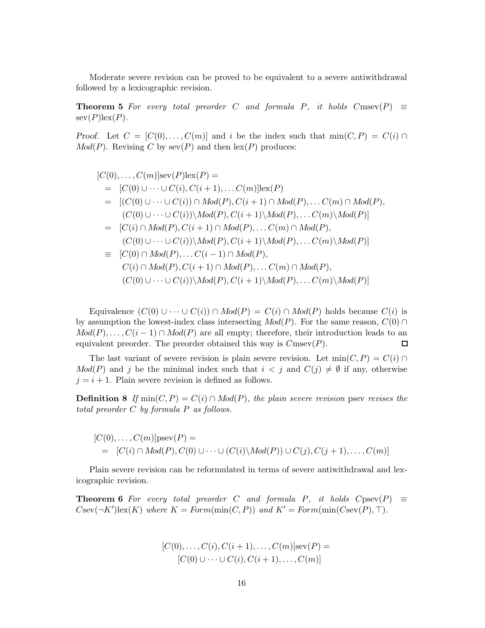Moderate severe revision can be proved to be equivalent to a severe antiwithdrawal followed by a lexicographic revision.

**Theorem 5** For every total preorder C and formula P, it holds  $C$ msev $(P) \equiv$  $\text{sev}(P)\text{lex}(P)$ .

Proof. Let  $C = [C(0), \ldots, C(m)]$  and i be the index such that  $min(C, P) = C(i) \cap$  $Mod(P)$ . Revising C by sev(P) and then  $lex(P)$  produces:

$$
[C(0),...,C(m)]\text{sev}(P)\text{lex}(P) =
$$
\n
$$
= [C(0) \cup \cdots \cup C(i), C(i+1),...C(m)]\text{lex}(P)
$$
\n
$$
= [(C(0) \cup \cdots \cup C(i)) \cap Mod(P), C(i+1) \cap Mod(P),...C(m) \cap Mod(P),
$$
\n
$$
(C(0) \cup \cdots \cup C(i)) \setminus Mod(P), C(i+1) \setminus Mod(P),...C(m) \setminus Mod(P)]
$$
\n
$$
= [C(i) \cap Mod(P), C(i+1) \cap Mod(P),...C(m) \cap Mod(P),
$$
\n
$$
(C(0) \cup \cdots \cup C(i)) \setminus Mod(P), C(i+1) \setminus Mod(P),...C(m) \setminus Mod(P)]
$$
\n
$$
= [C(0) \cap Mod(P),...C(i-1) \cap Mod(P),
$$
\n
$$
C(i) \cap Mod(P), C(i+1) \cap Mod(P),...C(m) \cap Mod(P),
$$
\n
$$
(C(0) \cup \cdots \cup C(i)) \setminus Mod(P), C(i+1) \setminus Mod(P),...C(m) \setminus Mod(P)]
$$

Equivalence  $(C(0) \cup \cdots \cup C(i)) \cap Mod(P) = C(i) \cap Mod(P)$  holds because  $C(i)$  is by assumption the lowest-index class intersecting  $Mod(P)$ . For the same reason,  $C(0) \cap$  $Mod(P), \ldots, C(i-1) \cap Mod(P)$  are all empty; therefore, their introduction leads to an equivalent preorder. The preorder obtained this way is  $C$ msev $(P)$ .  $\Box$ 

The last variant of severe revision is plain severe revision. Let  $min(C, P) = C(i) \cap$  $Mod(P)$  and j be the minimal index such that  $i < j$  and  $C(j) \neq \emptyset$  if any, otherwise  $j = i + 1$ . Plain severe revision is defined as follows.

**Definition 8** If min(C, P) =  $C(i) \cap Mod(P)$ , the plain severe revision psev revises the total preorder C by formula P as follows.

$$
[C(0),...,C(m)]psev(P) =
$$
  
= [C(i) ∩ Mod(P), C(0) ∪···∪ (C(i) \Mod(P)) ∪ C(j), C(j + 1),..., C(m)]

Plain severe revision can be reformulated in terms of severe antiwithdrawal and lexicographic revision.

**Theorem 6** For every total preorder C and formula P, it holds  $C$ psev $(P) \equiv$  $C$ sev $(\neg K')$ lex $(K)$  where  $K = Form(min(C, P))$  and  $K' = Form(min(C \text{sev}(P), \top)$ .

$$
[C(0),\ldots,C(i),C(i+1),\ldots,C(m)]\mathrm{sev}(P) = [C(0)\cup\cdots\cup C(i),C(i+1),\ldots,C(m)]
$$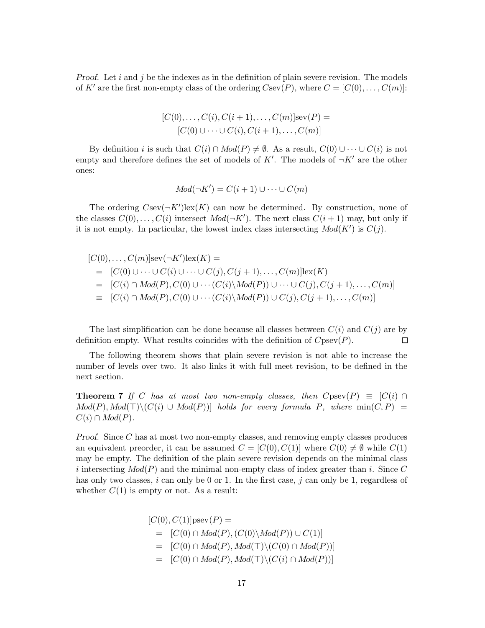*Proof.* Let i and j be the indexes as in the definition of plain severe revision. The models of K' are the first non-empty class of the ordering  $C\text{sev}(P)$ , where  $C = [C(0), \ldots, C(m)]$ :

$$
[C(0),...,C(i),C(i+1),...,C(m)]\text{sev}(P) = [C(0) \cup ... \cup C(i),C(i+1),...,C(m)]
$$

By definition i is such that  $C(i) \cap Mod(P) \neq \emptyset$ . As a result,  $C(0) \cup \cdots \cup C(i)$  is not empty and therefore defines the set of models of  $K'$ . The models of  $\neg K'$  are the other ones:

$$
Mod(\neg K') = C(i+1) \cup \dots \cup C(m)
$$

The ordering  $C\text{sev}(\neg K')\text{lex}(K)$  can now be determined. By construction, none of the classes  $C(0), \ldots, C(i)$  intersect  $Mod(\neg K')$ . The next class  $C(i + 1)$  may, but only if it is not empty. In particular, the lowest index class intersecting  $Mod(K')$  is  $C(j)$ .

$$
[C(0),...,C(m)]\text{sev}(\neg K')\text{lex}(K) =
$$
  
= 
$$
[C(0) \cup \cdots \cup C(i) \cup \cdots \cup C(j), C(j+1),...,C(m)]\text{lex}(K)
$$
  
= 
$$
[C(i) \cap Mod(P), C(0) \cup \cdots (C(i) \setminus Mod(P)) \cup \cdots \cup C(j), C(j+1),...,C(m)]
$$
  
= 
$$
[C(i) \cap Mod(P), C(0) \cup \cdots (C(i) \setminus Mod(P)) \cup C(j), C(j+1),...,C(m)]
$$

The last simplification can be done because all classes between  $C(i)$  and  $C(j)$  are by definition empty. What results coincides with the definition of  $C$ psev $(P)$ .  $\Box$ 

<span id="page-16-0"></span>The following theorem shows that plain severe revision is not able to increase the number of levels over two. It also links it with full meet revision, to be defined in the next section.

**Theorem 7** If C has at most two non-empty classes, then  $C$ psev $(P) \equiv [C(i) \cap$  $Mod(P), Mod(\top) \backslash (C(i) \cup Mod(P))]$  holds for every formula P, where  $min(C, P)$  =  $C(i) \cap Mod(P)$ .

Proof. Since C has at most two non-empty classes, and removing empty classes produces an equivalent preorder, it can be assumed  $C = [C(0), C(1)]$  where  $C(0) \neq \emptyset$  while  $C(1)$ may be empty. The definition of the plain severe revision depends on the minimal class i intersecting  $Mod(P)$  and the minimal non-empty class of index greater than i. Since C has only two classes,  $i$  can only be 0 or 1. In the first case,  $j$  can only be 1, regardless of whether  $C(1)$  is empty or not. As a result:

$$
[C(0), C(1)]\text{psev}(P) =
$$
  
= [C(0) \cap Mod(P), (C(0)\Mod(P)) \cup C(1)]  
= [C(0) \cap Mod(P), Mod(T)\widehat{C(0)} \cap Mod(P))]  
= [C(0) \cap Mod(P), Mod(T)\widehat{C(i)} \cap Mod(P))]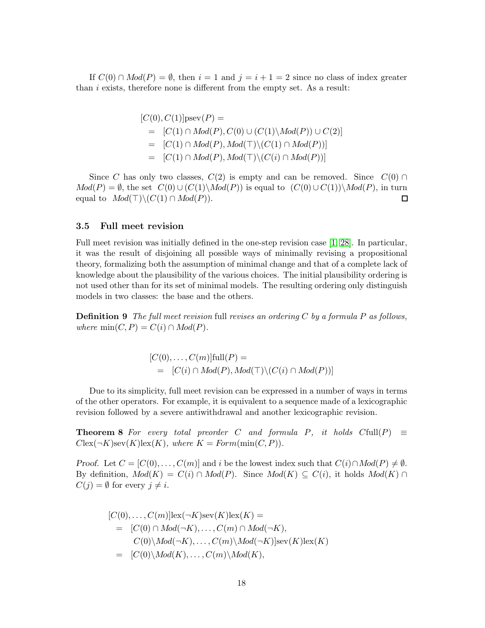If  $C(0) \cap Mod(P) = \emptyset$ , then  $i = 1$  and  $j = i + 1 = 2$  since no class of index greater than  $i$  exists, therefore none is different from the empty set. As a result:

$$
[C(0), C(1)]\text{psev}(P) =
$$
  
= [C(1) \cap Mod(P), C(0) \cup (C(1)\Mod(P)) \cup C(2)]  
= [C(1) \cap Mod(P), Mod(T)\Gtr (C(1) \cap Mod(P))]  
= [C(1) \cap Mod(P), Mod(T)\Gtr (C(i) \cap Mod(P))]

Since C has only two classes,  $C(2)$  is empty and can be removed. Since  $C(0) \cap$  $Mod(P) = \emptyset$ , the set  $C(0) \cup (C(1) \setminus Mod(P))$  is equal to  $(C(0) \cup C(1)) \setminus Mod(P)$ , in turn equal to  $Mod(T)\setminus (C(1) \cap Mod(P)).$  $\Box$ 

### 3.5 Full meet revision

Full meet revision was initially defined in the one-step revision case [\[1,](#page-43-0) [28\]](#page-45-2). In particular, it was the result of disjoining all possible ways of minimally revising a propositional theory, formalizing both the assumption of minimal change and that of a complete lack of knowledge about the plausibility of the various choices. The initial plausibility ordering is not used other than for its set of minimal models. The resulting ordering only distinguish models in two classes: the base and the others.

**Definition 9** The full meet revision full revises an ordering C by a formula P as follows, where  $min(C, P) = C(i) \cap Mod(P)$ .

> $[C(0), \ldots, C(m)]$ full $(P)$  =  $= [C(i) \cap Mod(P), Mod(\top) \backslash (C(i) \cap Mod(P))]$

Due to its simplicity, full meet revision can be expressed in a number of ways in terms of the other operators. For example, it is equivalent to a sequence made of a lexicographic revision followed by a severe antiwithdrawal and another lexicographic revision.

**Theorem 8** For every total preorder C and formula P, it holds  $C[\text{full}(P)] \equiv$  $C\text{lex}(\neg K)\text{sev}(K)\text{lex}(K)$ , where  $K = Form(\min(C, P))$ .

Proof. Let  $C = [C(0), \ldots, C(m)]$  and i be the lowest index such that  $C(i) \cap Mod(P) \neq \emptyset$ . By definition,  $Mod(K) = C(i) \cap Mod(P)$ . Since  $Mod(K) \subseteq C(i)$ , it holds  $Mod(K) \cap$  $C(j) = \emptyset$  for every  $j \neq i$ .

$$
[C(0),..., C(m)]\text{lex}(\neg K)\text{sev}(K)\text{lex}(K) =
$$
  
= [C(0) \cap Mod(\neg K),..., C(m) \cap Mod(\neg K),  

$$
C(0)\backslash Mod(\neg K),..., C(m)\backslash Mod(\neg K)]\text{sev}(K)\text{lex}(K)
$$
  
= [C(0)\backslash Mod(K),..., C(m)\backslash Mod(K),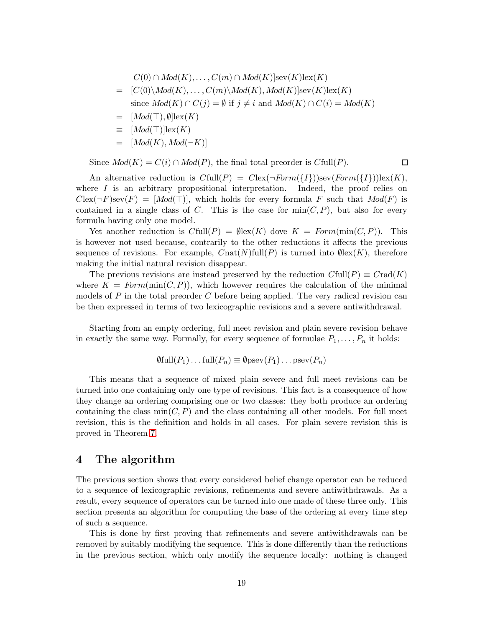$$
C(0) \cap Mod(K), \dots, C(m) \cap Mod(K)]\text{sev}(K)\text{lex}(K)
$$
  
= [C(0)\\Mod(K), \dots, C(m)\Mod(K), Mod(K)]\text{sev}(K)\text{lex}(K)  
since Mod(K) \cap C(j) = \emptyset if j \neq i and Mod(K) \cap C(i) = Mod(K)  
= [Mod(T), \emptyset]\text{lex}(K)  
= [Mod(K), Mod(\neg K)]

 $\Box$ 

Since  $Mod(K) = C(i) \cap Mod(P)$ , the final total preorder is  $Cfull(P)$ .

An alternative reduction is  $Cfull(P) = Clex(\neg Form({I}))$ sev $(Form({I}))$ lex $(K)$ , where  $I$  is an arbitrary propositional interpretation. Indeed, the proof relies on  $C$ lex(¬F)sev(F) = [Mod(⊤)], which holds for every formula F such that  $Mod(F)$  is contained in a single class of C. This is the case for  $\min(C, P)$ , but also for every formula having only one model.

Yet another reduction is  $C[\text{full}(P)] = \emptyset[\text{lex}(K)]$  dove  $K = Form(\text{min}(C, P))$ . This is however not used because, contrarily to the other reductions it affects the previous sequence of revisions. For example,  $Cnat(N)\text{full}(P)$  is turned into  $\emptyset$ lex $(K)$ , therefore making the initial natural revision disappear.

The previous revisions are instead preserved by the reduction  $C[\text{full}(P)] \equiv C[\text{rad}(K)]$ where  $K = Form(\min(C, P))$ , which however requires the calculation of the minimal models of  $P$  in the total preorder  $C$  before being applied. The very radical revision can be then expressed in terms of two lexicographic revisions and a severe antiwithdrawal.

Starting from an empty ordering, full meet revision and plain severe revision behave in exactly the same way. Formally, for every sequence of formulae  $P_1, \ldots, P_n$  it holds:

$$
\emptyset \text{full}(P_1) \dots \text{full}(P_n) \equiv \emptyset \text{psev}(P_1) \dots \text{psev}(P_n)
$$

This means that a sequence of mixed plain severe and full meet revisions can be turned into one containing only one type of revisions. This fact is a consequence of how they change an ordering comprising one or two classes: they both produce an ordering containing the class  $min(C, P)$  and the class containing all other models. For full meet revision, this is the definition and holds in all cases. For plain severe revision this is proved in Theorem [7.](#page-16-0)

# <span id="page-18-0"></span>4 The algorithm

The previous section shows that every considered belief change operator can be reduced to a sequence of lexicographic revisions, refinements and severe antiwithdrawals. As a result, every sequence of operators can be turned into one made of these three only. This section presents an algorithm for computing the base of the ordering at every time step of such a sequence.

This is done by first proving that refinements and severe antiwithdrawals can be removed by suitably modifying the sequence. This is done differently than the reductions in the previous section, which only modify the sequence locally: nothing is changed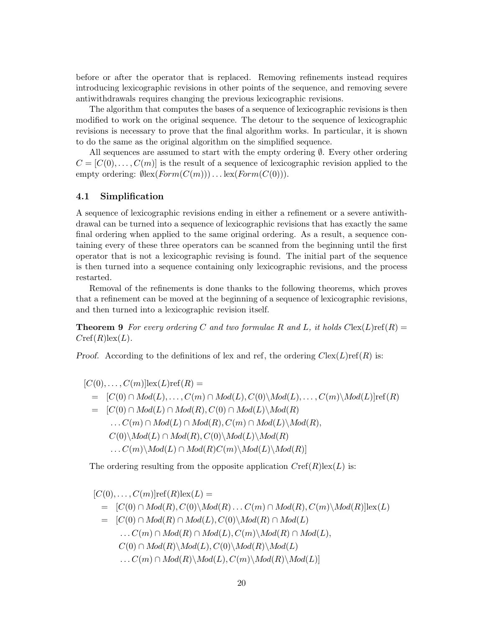before or after the operator that is replaced. Removing refinements instead requires introducing lexicographic revisions in other points of the sequence, and removing severe antiwithdrawals requires changing the previous lexicographic revisions.

The algorithm that computes the bases of a sequence of lexicographic revisions is then modified to work on the original sequence. The detour to the sequence of lexicographic revisions is necessary to prove that the final algorithm works. In particular, it is shown to do the same as the original algorithm on the simplified sequence.

All sequences are assumed to start with the empty ordering  $\emptyset$ . Every other ordering  $C = [C(0), \ldots, C(m)]$  is the result of a sequence of lexicographic revision applied to the empty ordering:  $\mathcal{O}_\mathbb{R}(Form(C(m))) \dots \text{lex}(Form(C(0))).$ 

# 4.1 Simplification

A sequence of lexicographic revisions ending in either a refinement or a severe antiwithdrawal can be turned into a sequence of lexicographic revisions that has exactly the same final ordering when applied to the same original ordering. As a result, a sequence containing every of these three operators can be scanned from the beginning until the first operator that is not a lexicographic revising is found. The initial part of the sequence is then turned into a sequence containing only lexicographic revisions, and the process restarted.

Removal of the refinements is done thanks to the following theorems, which proves that a refinement can be moved at the beginning of a sequence of lexicographic revisions, and then turned into a lexicographic revision itself.

**Theorem 9** For every ordering C and two formulae R and L, it holds  $C$ lex(L)ref(R) =  $Cref(R)$ lex $(L)$ .

*Proof.* According to the definitions of lex and ref, the ordering  $C$ lex(L)ref(R) is:

$$
[C(0),...,C(m)]lex(L)ref(R) =\n= [C(0) \cap Mod(L),...,C(m) \cap Mod(L), C(0) \setminus Mod(L),...,C(m) \setminus Mod(L)]ref(R)\n= [C(0) \cap Mod(L) \cap Mod(R), C(0) \cap Mod(L) \setminus Mod(R)\n... C(m) \cap Mod(L) \cap Mod(R), C(m) \cap Mod(L) \setminus Mod(R),\nC(0) \setminus Mod(L) \cap Mod(R), C(0) \setminus Mod(L) \setminus Mod(R)\n... C(m) \setminus Mod(L) \cap Mod(R)C(m) \setminus Mod(L) \setminus Mod(R)]
$$

The ordering resulting from the opposite application  $Cref(R)$ lex $(L)$  is:

$$
[C(0),..., C(m)]ref(R)lex(L) =
$$
  
\n
$$
= [C(0) \cap Mod(R), C(0) \setminus Mod(R) ... C(m) \cap Mod(R), C(m) \setminus Mod(R)]lex(L)
$$
  
\n
$$
= [C(0) \cap Mod(R) \cap Mod(L), C(0) \setminus Mod(R) \cap Mod(L)
$$
  
\n
$$
... C(m) \cap Mod(R) \setminus Mod(L), C(0) \setminus Mod(R) \setminus Mod(L)
$$
  
\n
$$
... C(m) \cap Mod(R) \setminus Mod(L), C(m) \setminus Mod(R) \setminus Mod(L)
$$
  
\n
$$
... C(m) \cap Mod(R) \setminus Mod(L), C(m) \setminus Mod(R) \setminus Mod(L)
$$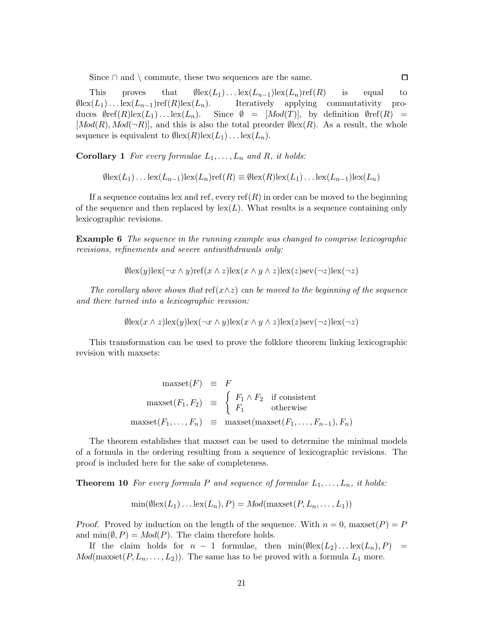Since  $\cap$  and  $\setminus$  commute, these two sequences are the same.

This proves that  $\emptyset$ lex $(L_1) \dots$ lex $(L_{n-1})$ lex $(L_n)$ ref $(R)$  is equal to  $\emptyset$ lex $(L_1) \dots$ lex $(L_{n-1})$ ref $(R)$ lex $(L_n)$ . Iteratively applying commutativity produces  $\varnothing$ ref(R)lex(L<sub>1</sub>)...lex(L<sub>n</sub>). Since  $\varnothing = [Mod(T)]$ , by definition  $\varnothing$ ref(R) =  $[Mod(R), Mod(\neg R)]$ , and this is also the total preorder  $\emptyset$ lex $(R)$ . As a result, the whole sequence is equivalent to  $\mathcal{O}(\text{lex}(R)\text{lex}(L_1)\dots\text{lex}(L_n)).$ 

<span id="page-20-0"></span>**Corollary 1** For every formulae  $L_1, \ldots, L_n$  and R, it holds:

$$
\emptyset \text{lex}(L_1) \dots \text{lex}(L_{n-1}) \text{lex}(L_n) \text{ref}(R) \equiv \emptyset \text{lex}(R) \text{lex}(L_1) \dots \text{lex}(L_{n-1}) \text{lex}(L_n)
$$

If a sequence contains lex and ref, every  $ref(R)$  in order can be moved to the beginning of the sequence and then replaced by  $\text{lex}(L)$ . What results is a sequence containing only lexicographic revisions.

**Example 6** The sequence in the running example was changed to comprise lexicographic revisions, refinements and severe antiwithdrawals only:

$$
\emptyset \text{lex}(y) \text{lex}(\neg x \land y) \text{ref}(x \land z) \text{lex}(x \land y \land z) \text{lex}(z) \text{sex}(\neg z) \text{lex}(\neg z)
$$

The corollary above shows that ref( $x \wedge z$ ) can be moved to the beginning of the sequence and there turned into a lexicographic revision:

$$
\emptyset \text{lex}(x \wedge z) \text{lex}(y) \text{lex}(\neg x \wedge y) \text{lex}(x \wedge y \wedge z) \text{lex}(z) \text{sex}(\neg z) \text{lex}(\neg z)
$$

This transformation can be used to prove the folklore theorem linking lexicographic revision with maxsets:

$$
\begin{array}{rcl}\n\text{maxset}(F) & \equiv & F \\
\text{maxset}(F_1, F_2) & \equiv & \begin{cases} F_1 \wedge F_2 & \text{if consistent} \\ F_1 & \text{otherwise} \end{cases} \\
\text{maxset}(F_1, \dots, F_n) & \equiv & \text{maxset}(\text{maxset}(F_1, \dots, F_{n-1}), F_n)\n\end{array}
$$

The theorem establishes that maxset can be used to determine the minimal models of a formula in the ordering resulting from a sequence of lexicographic revisions. The proof is included here for the sake of completeness.

**Theorem 10** For every formula P and sequence of formulae  $L_1, \ldots, L_n$ , it holds:

$$
\min(\emptyset \text{lex}(L_1)\dots \text{lex}(L_n), P) = \text{Mod}(\text{maxset}(P, L_n, \dots, L_1))
$$

Proof. Proved by induction on the length of the sequence. With  $n = 0$ , maxset $(P) = P$ and  $\min(\emptyset, P) = Mod(P)$ . The claim therefore holds.

If the claim holds for  $n-1$  formulae, then  $\min(\emptyset \le (L_2) \dots \le (L_n), P) =$  $Mod(maxset(P, L_n, \ldots, L_2))$ . The same has to be proved with a formula  $L_1$  more.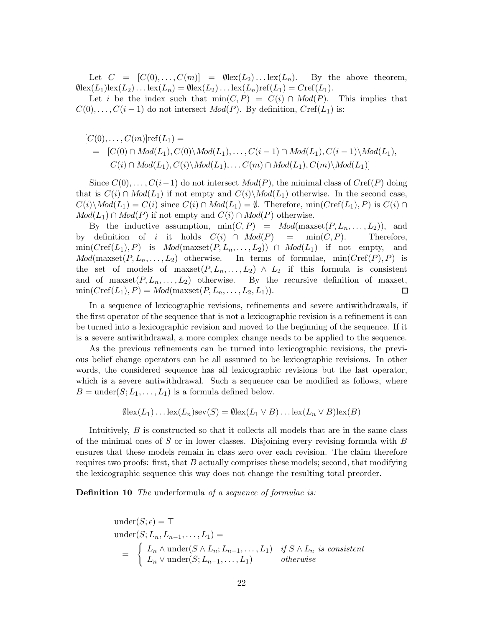Let  $C = [C(0), \ldots, C(m)] = \emptyset \text{lex}(L_2) \ldots \text{lex}(L_n)$ . By the above theorem,  $\emptyset$ lex $(L_1)$ lex $(L_2)$ ... lex $(L_n) = \emptyset$ lex $(L_2)$ ... lex $(L_n)$ ref $(L_1) = Cref(L_1)$ .

Let i be the index such that  $\min(C, P) = C(i) \cap Mod(P)$ . This implies that  $C(0), \ldots, C(i-1)$  do not intersect  $Mod(P)$ . By definition,  $Cref(L_1)$  is:

$$
[C(0),...,C(m)]\text{ref}(L_1) =
$$
  
= 
$$
[C(0) \cap Mod(L_1), C(0) \setminus Mod(L_1),..., C(i-1) \cap Mod(L_1), C(i-1) \setminus Mod(L_1),
$$
  

$$
C(i) \cap Mod(L_1), C(i) \setminus Mod(L_1),... C(m) \cap Mod(L_1), C(m) \setminus Mod(L_1)]
$$

Since  $C(0), \ldots, C(i-1)$  do not intersect  $Mod(P)$ , the minimal class of  $Cref(P)$  doing that is  $C(i) \cap Mod(L_1)$  if not empty and  $C(i) \backslash Mod(L_1)$  otherwise. In the second case,  $C(i)\backslash Mod(L_1) = C(i)$  since  $C(i) \cap Mod(L_1) = \emptyset$ . Therefore, min( $Cref(L_1), P$ ) is  $C(i) \cap Mod(L_1)$  $Mod(L_1) \cap Mod(P)$  if not empty and  $C(i) \cap Mod(P)$  otherwise.

By the inductive assumption,  $min(C, P) = Mod(maxset(P, L_n, \ldots, L_2)),$  and by definition of i it holds  $C(i) \cap Mod(P) = \min(C, P)$ . Therefore,  $\min(Cref(L_1), P)$  is  $Mod(maxset(P, L_n, \ldots, L_2)) \cap Mod(L_1)$  if not empty, and  $Mod(maxset(P, L_n, \ldots, L_2)$  otherwise. In terms of formulae, min $(Cref(P), P)$  is the set of models of maxset $(P, L_n, \ldots, L_2) \wedge L_2$  if this formula is consistent and of maxset $(P, L_n, \ldots, L_2)$  otherwise. By the recursive definition of maxset,  $min(Cref(L_1), P) = Mod(maxset(P, L_n, \ldots, L_2, L_1)).$  $\Box$ 

In a sequence of lexicographic revisions, refinements and severe antiwithdrawals, if the first operator of the sequence that is not a lexicographic revision is a refinement it can be turned into a lexicographic revision and moved to the beginning of the sequence. If it is a severe antiwithdrawal, a more complex change needs to be applied to the sequence.

As the previous refinements can be turned into lexicographic revisions, the previous belief change operators can be all assumed to be lexicographic revisions. In other words, the considered sequence has all lexicographic revisions but the last operator, which is a severe antiwithdrawal. Such a sequence can be modified as follows, where  $B = \text{under}(S; L_1, \ldots, L_1)$  is a formula defined below.

$$
\emptyset \text{lex}(L_1) \dots \text{lex}(L_n) \text{sev}(S) = \emptyset \text{lex}(L_1 \vee B) \dots \text{lex}(L_n \vee B) \text{lex}(B)
$$

Intuitively, B is constructed so that it collects all models that are in the same class of the minimal ones of S or in lower classes. Disjoining every revising formula with  $B$ ensures that these models remain in class zero over each revision. The claim therefore requires two proofs: first, that  $B$  actually comprises these models; second, that modifying the lexicographic sequence this way does not change the resulting total preorder.

**Definition 10** The underformula of a sequence of formulae is:

under
$$
(S; \epsilon) = \top
$$
  
\nunder $(S; L_n, L_{n-1}, \ldots, L_1) =$   
\n
$$
= \begin{cases} L_n \wedge \text{under}(S \wedge L_n; L_{n-1}, \ldots, L_1) & \text{if } S \wedge L_n \text{ is consistent} \\ L_n \vee \text{under}(S; L_{n-1}, \ldots, L_1) & \text{otherwise} \end{cases}
$$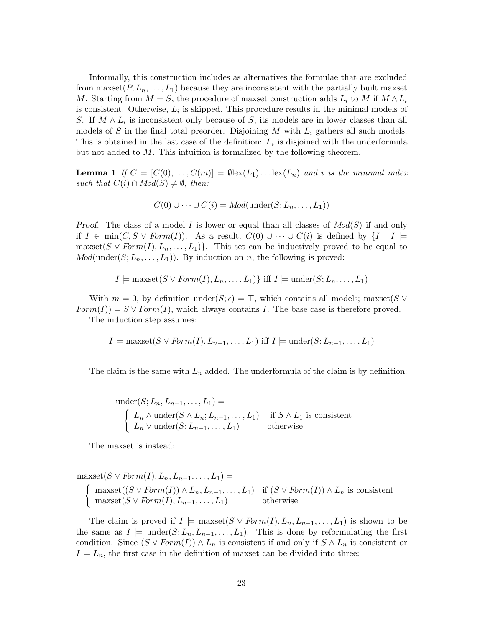Informally, this construction includes as alternatives the formulae that are excluded from maxset  $(P, L_n, \ldots, L_1)$  because they are inconsistent with the partially built maxset M. Starting from  $M = S$ , the procedure of maxset construction adds  $L_i$  to M if  $M \wedge L_i$ is consistent. Otherwise,  $L_i$  is skipped. This procedure results in the minimal models of S. If  $M \wedge L_i$  is inconsistent only because of S, its models are in lower classes than all models of S in the final total preorder. Disjoining M with  $L_i$  gathers all such models. This is obtained in the last case of the definition:  $L_i$  is disjoined with the underformula but not added to M. This intuition is formalized by the following theorem.

**Lemma 1** If  $C = [C(0), \ldots, C(m)] = \emptyset \text{lex}(L_1) \ldots \text{lex}(L_n)$  and i is the minimal index such that  $C(i) \cap Mod(S) \neq \emptyset$ , then:

$$
C(0) \cup \cdots \cup C(i) = Mod(\operatorname{under}(S; L_n, \ldots, L_1))
$$

Proof. The class of a model I is lower or equal than all classes of  $Mod(S)$  if and only if  $I \in \text{min}(C, S \vee \text{Form}(I)).$  As a result,  $C(0) \cup \cdots \cup C(i)$  is defined by  $\{I \mid I \models$ maxset( $S \vee Form(I), L_n, \ldots, L_1$ ). This set can be inductively proved to be equal to  $Mod(under(S; L_n, \ldots, L_1))$ . By induction on n, the following is proved:

 $I \models \text{maxset}(S \vee \text{Form}(I), L_n, \ldots, L_1)$  iff  $I \models \text{under}(S; L_n, \ldots, L_1)$ 

With  $m = 0$ , by definition under $(S; \epsilon) = \top$ , which contains all models; maxset(S  $\vee$  $Form(I)) = S \vee Form(I)$ , which always contains I. The base case is therefore proved.

The induction step assumes:

 $I \models \text{maxset}(S \vee \text{Form}(I), L_{n-1}, \ldots, L_1) \text{ iff } I \models \text{under}(S; L_{n-1}, \ldots, L_1)$ 

The claim is the same with  $L_n$  added. The underformula of the claim is by definition:

under
$$
(S; L_n, L_{n-1},..., L_1)
$$
 =  
\n
$$
\begin{cases}\nL_n \wedge \text{under}(S \wedge L_n; L_{n-1},..., L_1) & \text{if } S \wedge L_1 \text{ is consistent} \\
L_n \vee \text{under}(S; L_{n-1},..., L_1) & \text{otherwise}\n\end{cases}
$$

The maxset is instead:

 $maxset(S \vee Form(I), L_n, L_{n-1}, \ldots, L_1) =$  $\int$  maxset $((S \vee Form(I)) \wedge L_n, L_{n-1}, \ldots, L_1)$  if  $(S \vee Form(I)) \wedge L_n$  is consistent  $maxset(S \vee Form(I), L_{n-1}, \ldots, L_1)$  otherwise

The claim is proved if  $I \models \text{maxset}(S \vee \text{Form}(I), L_n, L_{n-1}, \ldots, L_1)$  is shown to be the same as  $I \models \text{under}(S; L_n, L_{n-1}, \ldots, L_1)$ . This is done by reformulating the first condition. Since  $(S \vee Form(I)) \wedge L_n$  is consistent if and only if  $S \wedge L_n$  is consistent or  $I \models L_n$ , the first case in the definition of maxset can be divided into three: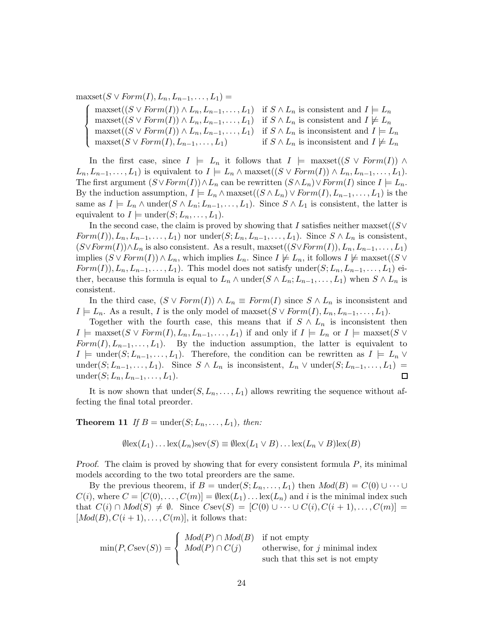$maxset(S \vee Form(I), L_n, L_{n-1}, \ldots, L_1) =$ 

 $\sqrt{ }$  $\int$  $\overline{\mathcal{L}}$  $maxset((S \vee Form(I)) \wedge L_n, L_{n-1}, \ldots, L_1)$  if  $S \wedge L_n$  is consistent and  $I \models L_n$  $maxset((S \vee Form(I)) \wedge L_n, L_{n-1}, \ldots, L_1)$  if  $S \wedge L_n$  is consistent and  $I \not\models L_n$  $maxset((S \vee Form(I)) \wedge L_n, L_{n-1}, \ldots, L_1)$  if  $S \wedge L_n$  is inconsistent and  $I \models L_n$  $maxset(S \vee Form(I), L_{n-1}, \ldots, L_1)$  if  $S \wedge L_n$  is inconsistent and  $I \not\models L_n$ 

In the first case, since  $I \models L_n$  it follows that  $I \models \text{maxset}((S \lor \text{Form}(I)) \land \text{maxset}((S \lor \text{Form}(I)) \land \text{maxset}((S \lor \text{Form}(I)) \land \text{maxset}((S \lor \text{Form}(I)) \land \text{maxset}((S \lor \text{Form}(I)))$  $L_n, L_{n-1}, \ldots, L_1$  is equivalent to  $I \models L_n \wedge \text{maxset}((S \vee Form(I)) \wedge L_n, L_{n-1}, \ldots, L_1)$ . The first argument  $(S \vee Form(I)) \wedge L_n$  can be rewritten  $(S \wedge L_n) \vee Form(I)$  since  $I \models L_n$ . By the induction assumption,  $I \models L_n \wedge \text{maxset}((S \wedge L_n) \vee \text{Form}(I), L_{n-1}, \ldots, L_1)$  is the same as  $I \models L_n \wedge \text{under}(S \wedge L_n; L_{n-1}, \ldots, L_1)$ . Since  $S \wedge L_1$  is consistent, the latter is equivalent to  $I \models \text{under}(S; L_n, \ldots, L_1)$ .

In the second case, the claim is proved by showing that I satisfies neither maxset( $(S \vee$  $Form(I)), L_n, L_{n-1}, \ldots, L_1$  nor under $(S; L_n, L_{n-1}, \ldots, L_1)$ . Since  $S \wedge L_n$  is consistent,  $(S \vee Form(I)) \wedge L_n$  is also consistent. As a result, maxset $((S \vee Form(I)), L_n, L_{n-1}, \ldots, L_1)$ implies  $(S \vee Form(I)) \wedge L_n$ , which implies  $L_n$ . Since  $I \not\models L_n$ , it follows  $I \not\models \text{maxset}((S \vee$  $Form(I)), L_n, L_{n-1}, \ldots, L_1$ . This model does not satisfy under $(S; L_n, L_{n-1}, \ldots, L_1)$  either, because this formula is equal to  $L_n \wedge \text{under}(S \wedge L_n; L_{n-1}, \ldots, L_1)$  when  $S \wedge L_n$  is consistent.

In the third case,  $(S \vee Form(I)) \wedge L_n \equiv Form(I)$  since  $S \wedge L_n$  is inconsistent and  $I \models L_n$ . As a result, I is the only model of maxset( $S \vee Form(I), L_n, L_{n-1}, \ldots, L_1$ ).

Together with the fourth case, this means that if  $S \wedge L_n$  is inconsistent then  $I \models \text{maxset}(S \vee Form(I), L_n, L_{n-1}, \ldots, L_1)$  if and only if  $I \models L_n$  or  $I \models \text{maxset}(S \vee$  $Form(I), L_{n-1}, \ldots, L_1$ . By the induction assumption, the latter is equivalent to  $I \models \text{under}(S; L_{n-1}, \ldots, L_1)$ . Therefore, the condition can be rewritten as  $I \models L_n \vee$ under( $S; L_{n-1}, \ldots, L_1$ ). Since  $S \wedge L_n$  is inconsistent,  $L_n \vee \text{under}(S; L_{n-1}, \ldots, L_1) =$ under $(S;L_n,L_{n-1},\ldots,L_1).$  $\Box$ 

It is now shown that  $under(S, L_n, \ldots, L_1)$  allows rewriting the sequence without affecting the final total preorder.

**Theorem 11** If  $B = \text{under}(S; L_n, \ldots, L_1)$ , then:

$$
\emptyset \text{lex}(L_1) \dots \text{lex}(L_n) \text{sev}(S) \equiv \emptyset \text{lex}(L_1 \vee B) \dots \text{lex}(L_n \vee B) \text{lex}(B)
$$

*Proof.* The claim is proved by showing that for every consistent formula  $P$ , its minimal models according to the two total preorders are the same.

By the previous theorem, if  $B = \text{under}(S; L_n, \ldots, L_1)$  then  $Mod(B) = C(0) \cup \cdots \cup$  $C(i)$ , where  $C = [C(0), \ldots, C(m)] = \emptyset \text{lex}(L_1) \ldots \text{lex}(L_n)$  and i is the minimal index such that  $C(i) \cap Mod(S) \neq \emptyset$ . Since  $Csev(S) = [C(0) \cup \cdots \cup C(i), C(i+1), \ldots, C(m)] =$  $[Mod(B), C(i + 1), \ldots, C(m)]$ , it follows that:

$$
\min(P, C\text{sev}(S)) = \begin{cases} \text{Mod}(P) \cap \text{Mod}(B) & \text{if not empty} \\ \text{Mod}(P) \cap \text{C}(j) & \text{otherwise, for } j \text{ minimal index} \\ \text{such that this set is not empty} \end{cases}
$$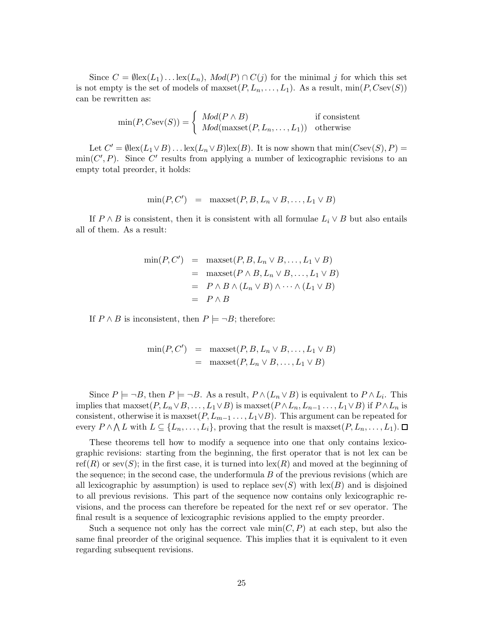Since  $C = \emptyset \text{lex}(L_1) \dots \text{lex}(L_n)$ ,  $Mod(P) \cap C(j)$  for the minimal j for which this set is not empty is the set of models of maxset $(P, L_n, \ldots, L_1)$ . As a result,  $\min(P, C\text{sev}(S))$ can be rewritten as:

$$
\min(P, C\text{sev}(S)) = \begin{cases} \text{Mod}(P \wedge B) & \text{if consistent} \\ \text{Mod}(\text{maxset}(P, L_n, \dots, L_1)) & \text{otherwise} \end{cases}
$$

Let  $C' = \emptyset \text{lex}(L_1 \vee B) \dots \text{lex}(L_n \vee B) \text{lex}(B)$ . It is now shown that  $\min(C \text{sex}(S), P) =$  $\min(C', P)$ . Since C' results from applying a number of lexicographic revisions to an empty total preorder, it holds:

$$
\min(P, C') = \maxset(P, B, L_n \vee B, \dots, L_1 \vee B)
$$

If  $P \wedge B$  is consistent, then it is consistent with all formulae  $L_i \vee B$  but also entails all of them. As a result:

$$
\begin{array}{rcl}\n\min(P, C') & = & \max\{P, B, L_n \lor B, \dots, L_1 \lor B\} \\
& = & \max\{P \land B, L_n \lor B, \dots, L_1 \lor B\} \\
& = & P \land B \land (L_n \lor B) \land \dots \land (L_1 \lor B) \\
& = & P \land B\n\end{array}
$$

If  $P \wedge B$  is inconsistent, then  $P \models \neg B$ ; therefore:

$$
\min(P, C') = \maxset(P, B, L_n \vee B, \dots, L_1 \vee B)
$$
  
= 
$$
\maxset(P, L_n \vee B, \dots, L_1 \vee B)
$$

Since  $P \models \neg B$ , then  $P \models \neg B$ . As a result,  $P \wedge (L_n \vee B)$  is equivalent to  $P \wedge L_i$ . This implies that maxset $(P, L_n \vee B, \ldots, L_1 \vee B)$  is maxset $(P \wedge L_n, L_{n-1}, \ldots, L_1 \vee B)$  if  $P \wedge L_n$  is consistent, otherwise it is maxset $(P, L_{m-1}, \ldots, L_1 \vee B)$ . This argument can be repeated for every  $P \wedge \bigwedge L$  with  $L \subseteq \{L_n, \ldots, L_i\}$ , proving that the result is maxset $(P, L_n, \ldots, L_1)$ .

These theorems tell how to modify a sequence into one that only contains lexicographic revisions: starting from the beginning, the first operator that is not lex can be ref(R) or sev(S); in the first case, it is turned into  $\operatorname{lex}(R)$  and moved at the beginning of the sequence; in the second case, the underformula  $B$  of the previous revisions (which are all lexicographic by assumption) is used to replace  $\text{sev}(S)$  with  $\text{lex}(B)$  and is disjoined to all previous revisions. This part of the sequence now contains only lexicographic revisions, and the process can therefore be repeated for the next ref or sev operator. The final result is a sequence of lexicographic revisions applied to the empty preorder.

Such a sequence not only has the correct vale  $min(C, P)$  at each step, but also the same final preorder of the original sequence. This implies that it is equivalent to it even regarding subsequent revisions.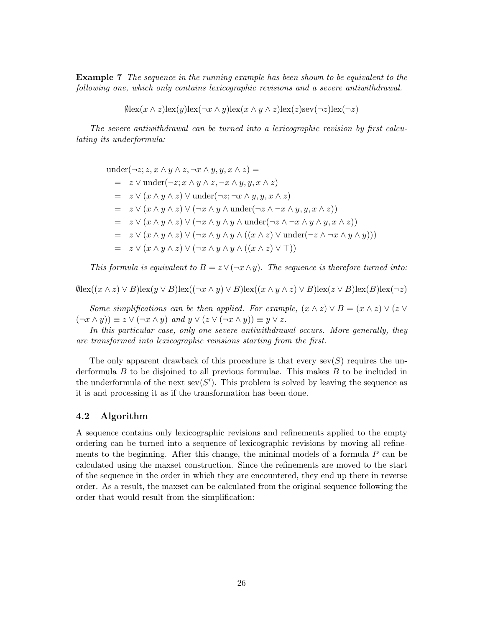**Example 7** The sequence in the running example has been shown to be equivalent to the following one, which only contains lexicographic revisions and a severe antiwithdrawal.

 $\emptyset$ lex $(x \wedge z)$ lex $(y)$ lex $(\neg x \wedge y)$ lex $(x \wedge y \wedge z)$ lex $(z)$ sev $(\neg z)$ lex $(\neg z)$ 

The severe antiwithdrawal can be turned into a lexicographic revision by first calculating its underformula:

under $(\neg z; z, x \land y \land z, \neg x \land y, y, x \land z)$  $= z \vee \text{under}(\neg z; x \wedge y \wedge z, \neg x \wedge y, y, x \wedge z)$  $= z \vee (x \wedge y \wedge z) \vee \text{under}(\neg z; \neg x \wedge y, y, x \wedge z)$  $= z \vee (x \wedge y \wedge z) \vee (\neg x \wedge y \wedge \text{under}(\neg z \wedge \neg x \wedge y, y, x \wedge z))$  $= z \vee (x \wedge y \wedge z) \vee (\neg x \wedge y \wedge y \wedge \text{under}(\neg z \wedge \neg x \wedge y \wedge y, x \wedge z))$  $= z \vee (x \wedge y \wedge z) \vee (\neg x \wedge y \wedge y \wedge ((x \wedge z) \vee \text{under}(\neg z \wedge \neg x \wedge y \wedge y)))$  $= z \vee (x \wedge y \wedge z) \vee (\neg x \wedge y \wedge y \wedge ((x \wedge z) \vee \top))$ 

This formula is equivalent to  $B = z \vee (\neg x \wedge y)$ . The sequence is therefore turned into:

 $\emptyset$ lex $((x \wedge z) \vee B)$ lex $(y \vee B)$ lex $((\neg x \wedge y) \vee B)$ lex $((x \wedge y \wedge z) \vee B)$ lex $(z \vee B)$ lex $(B)$ lex $(\neg z)$ 

Some simplifications can be then applied. For example,  $(x \wedge z) \vee B = (x \wedge z) \vee (z \vee z)$  $(\neg x \land y) \equiv z \lor (\neg x \land y)$  and  $y \lor (z \lor (\neg x \land y)) \equiv y \lor z$ .

In this particular case, only one severe antiwithdrawal occurs. More generally, they are transformed into lexicographic revisions starting from the first.

The only apparent drawback of this procedure is that every  $sev(S)$  requires the underformula  $B$  to be disjoined to all previous formulae. This makes  $B$  to be included in the underformula of the next sev(S'). This problem is solved by leaving the sequence as it is and processing it as if the transformation has been done.

# 4.2 Algorithm

A sequence contains only lexicographic revisions and refinements applied to the empty ordering can be turned into a sequence of lexicographic revisions by moving all refinements to the beginning. After this change, the minimal models of a formula  $P$  can be calculated using the maxset construction. Since the refinements are moved to the start of the sequence in the order in which they are encountered, they end up there in reverse order. As a result, the maxset can be calculated from the original sequence following the order that would result from the simplification: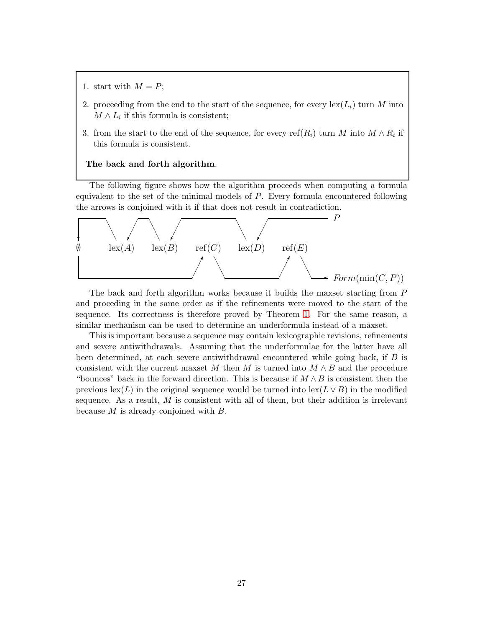- 1. start with  $M = P$ ;
- 2. proceeding from the end to the start of the sequence, for every  $\text{lex}(L_i)$  turn M into  $M \wedge L_i$  if this formula is consistent;
- 3. from the start to the end of the sequence, for every  $\text{ref}(R_i)$  turn M into  $M \wedge R_i$  if this formula is consistent.

#### The back and forth algorithm.

The following figure shows how the algorithm proceeds when computing a formula equivalent to the set of the minimal models of P. Every formula encountered following the arrows is conjoined with it if that does not result in contradiction.



The back and forth algorithm works because it builds the maxset starting from P and proceding in the same order as if the refinements were moved to the start of the sequence. Its correctness is therefore proved by Theorem [1.](#page-20-0) For the same reason, a similar mechanism can be used to determine an underformula instead of a maxset.

This is important because a sequence may contain lexicographic revisions, refinements and severe antiwithdrawals. Assuming that the underformulae for the latter have all been determined, at each severe antiwithdrawal encountered while going back, if B is consistent with the current maxset M then M is turned into  $M \wedge B$  and the procedure "bounces" back in the forward direction. This is because if  $M \wedge B$  is consistent then the previous lex(L) in the original sequence would be turned into lex( $L \vee B$ ) in the modified sequence. As a result,  $M$  is consistent with all of them, but their addition is irrelevant because M is already conjoined with B.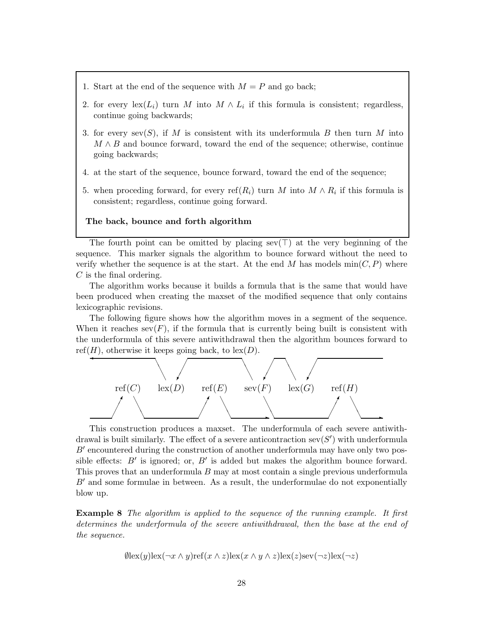- 1. Start at the end of the sequence with  $M = P$  and go back;
- 2. for every  $\text{lex}(L_i)$  turn M into  $M \wedge L_i$  if this formula is consistent; regardless, continue going backwards;
- 3. for every sev(S), if M is consistent with its underformula B then turn M into  $M \wedge B$  and bounce forward, toward the end of the sequence; otherwise, continue going backwards;
- 4. at the start of the sequence, bounce forward, toward the end of the sequence;
- 5. when proceding forward, for every ref $(R_i)$  turn M into  $M \wedge R_i$  if this formula is consistent; regardless, continue going forward.

#### The back, bounce and forth algorithm

The fourth point can be omitted by placing sev( $\top$ ) at the very beginning of the sequence. This marker signals the algorithm to bounce forward without the need to verify whether the sequence is at the start. At the end M has models  $\min(C, P)$  where  $C$  is the final ordering.

The algorithm works because it builds a formula that is the same that would have been produced when creating the maxset of the modified sequence that only contains lexicographic revisions.

The following figure shows how the algorithm moves in a segment of the sequence. When it reaches  $\text{sev}(F)$ , if the formula that is currently being built is consistent with the underformula of this severe antiwithdrawal then the algorithm bounces forward to ref $(H)$ , otherwise it keeps going back, to lex $(D)$ .



This construction produces a maxset. The underformula of each severe antiwithdrawal is built similarly. The effect of a severe anticontraction  $sev(S')$  with underformula B' encountered during the construction of another underformula may have only two possible effects:  $B'$  is ignored; or,  $B'$  is added but makes the algorithm bounce forward. This proves that an underformula B may at most contain a single previous underformula  $B'$  and some formulae in between. As a result, the underformulae do not exponentially blow up.

Example 8 The algorithm is applied to the sequence of the running example. It first determines the underformula of the severe antiwithdrawal, then the base at the end of the sequence.

$$
\emptyset \text{lex}(y) \text{lex}(\neg x \land y) \text{ref}(x \land z) \text{lex}(x \land y \land z) \text{lex}(z) \text{sex}(\neg z) \text{lex}(\neg z)
$$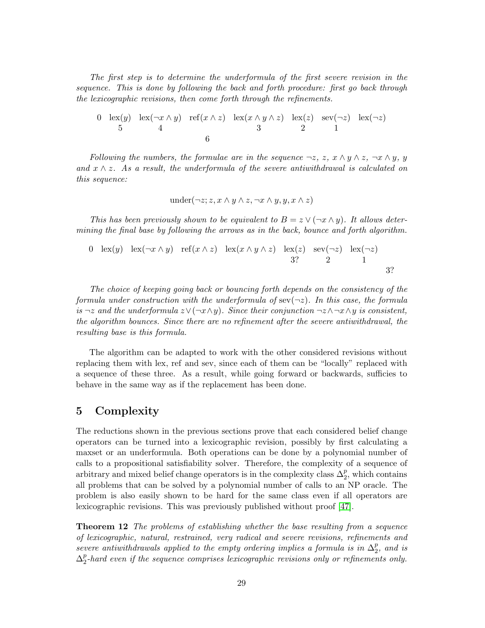The first step is to determine the underformula of the first severe revision in the sequence. This is done by following the back and forth procedure: first go back through the lexicographic revisions, then come forth through the refinements.

0 
$$
\operatorname{lex}(y)
$$
  $\operatorname{lex}(\neg x \land y)$  ref $(x \land z)$   $\operatorname{lex}(x \land y \land z)$   $\operatorname{lex}(z)$  sec $(\neg z)$  lex $(\neg z)$   
5 4 6

Following the numbers, the formulae are in the sequence  $\neg z$ ,  $z$ ,  $x \wedge y \wedge z$ ,  $\neg x \wedge y$ , y and  $x \wedge z$ . As a result, the underformula of the severe antiwithdrawal is calculated on this sequence:

under
$$
(\neg z; z, x \land y \land z, \neg x \land y, y, x \land z)
$$

This has been previously shown to be equivalent to  $B = z \vee (\neg x \wedge y)$ . It allows determining the final base by following the arrows as in the back, bounce and forth algorithm.

0 
$$
\operatorname{lex}(y)
$$
  $\operatorname{lex}(\neg x \land y)$  ref $(x \land z)$   $\operatorname{lex}(x \land y \land z)$   $\operatorname{lex}(z)$   $\operatorname{sex}(\neg z)$   $\operatorname{lex}(\neg z)$   
3? 2 1  
3?

The choice of keeping going back or bouncing forth depends on the consistency of the formula under construction with the underformula of  $\sec(\neg z)$ . In this case, the formula is  $\neg z$  and the underformula  $z \vee (\neg x \wedge y)$ . Since their conjunction  $\neg z \wedge \neg x \wedge y$  is consistent, the algorithm bounces. Since there are no refinement after the severe antiwithdrawal, the resulting base is this formula.

The algorithm can be adapted to work with the other considered revisions without replacing them with lex, ref and sev, since each of them can be "locally" replaced with a sequence of these three. As a result, while going forward or backwards, sufficies to behave in the same way as if the replacement has been done.

# <span id="page-28-0"></span>5 Complexity

The reductions shown in the previous sections prove that each considered belief change operators can be turned into a lexicographic revision, possibly by first calculating a maxset or an underformula. Both operations can be done by a polynomial number of calls to a propositional satisfiability solver. Therefore, the complexity of a sequence of arbitrary and mixed belief change operators is in the complexity class  $\Delta_2^p$ , which contains all problems that can be solved by a polynomial number of calls to an NP oracle. The problem is also easily shown to be hard for the same class even if all operators are lexicographic revisions. This was previously published without proof [\[47\]](#page-46-7).

<span id="page-28-1"></span>**Theorem 12** The problems of establishing whether the base resulting from a sequence of lexicographic, natural, restrained, very radical and severe revisions, refinements and severe antiwithdrawals applied to the empty ordering implies a formula is in  $\Delta_2^p$ , and is  $\Delta_2^p$ -hard even if the sequence comprises lexicographic revisions only or refinements only.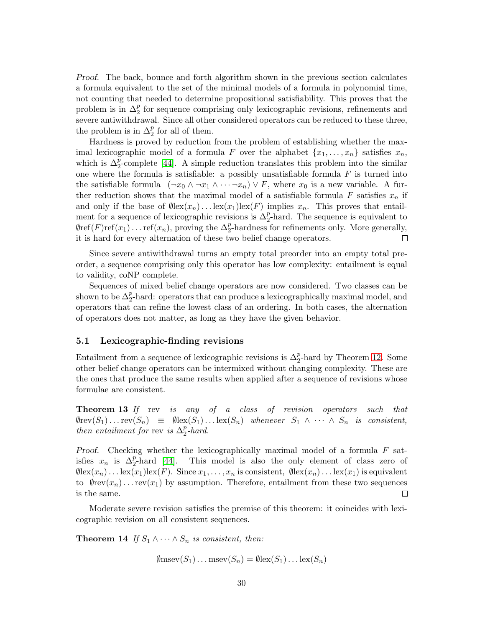Proof. The back, bounce and forth algorithm shown in the previous section calculates a formula equivalent to the set of the minimal models of a formula in polynomial time, not counting that needed to determine propositional satisfiability. This proves that the problem is in  $\Delta_2^p$  for sequence comprising only lexicographic revisions, refinements and severe antiwithdrawal. Since all other considered operators can be reduced to these three, the problem is in  $\Delta_2^p$  for all of them.

Hardness is proved by reduction from the problem of establishing whether the maximal lexicographic model of a formula F over the alphabet  $\{x_1, \ldots, x_n\}$  satisfies  $x_n$ , which is  $\Delta_2^p$ -complete [\[44\]](#page-46-11). A simple reduction translates this problem into the similar one where the formula is satisfiable: a possibly unsatisfiable formula  $F$  is turned into the satisfiable formula  $(\neg x_0 \land \neg x_1 \land \cdots \neg x_n) \lor F$ , where  $x_0$  is a new variable. A further reduction shows that the maximal model of a satisfiable formula  $F$  satisfies  $x_n$  if and only if the base of  $\emptyset \text{lex}(x_n) \dots \text{lex}(x_1) \text{lex}(F)$  implies  $x_n$ . This proves that entailment for a sequence of lexicographic revisions is  $\Delta_2^p$ -hard. The sequence is equivalent to  $\varphi_{\text{ref}}(F) \text{ref}(x_1) \dots \text{ref}(x_n)$ , proving the  $\Delta_2^p$ -hardness for refinements only. More generally, it is hard for every alternation of these two belief change operators.  $\Box$ 

Since severe antiwithdrawal turns an empty total preorder into an empty total preorder, a sequence comprising only this operator has low complexity: entailment is equal to validity, coNP complete.

Sequences of mixed belief change operators are now considered. Two classes can be shown to be  $\Delta_2^p$ -hard: operators that can produce a lexicographically maximal model, and operators that can refine the lowest class of an ordering. In both cases, the alternation of operators does not matter, as long as they have the given behavior.

### 5.1 Lexicographic-finding revisions

Entailment from a sequence of lexicographic revisions is  $\Delta_2^p$ -hard by Theorem [12.](#page-28-1) Some other belief change operators can be intermixed without changing complexity. These are the ones that produce the same results when applied after a sequence of revisions whose formulae are consistent.

**Theorem 13** If rev is any of a class of revision operators such that  $\text{Nrev}(S_1) \ldots \text{rev}(S_n) \equiv \text{Nlex}(S_1) \ldots \text{lex}(S_n)$  whenever  $S_1 \wedge \cdots \wedge S_n$  is consistent, then entailment for rev is  $\Delta_2^p$ -hard.

Proof. Checking whether the lexicographically maximal model of a formula  $F$  satisfies  $x_n$  is  $\Delta_2^p$ -hard [\[44\]](#page-46-11). This model is also the only element of class zero of  $\emptyset$ lex $(x_n)$ ... lex $(x_1)$ lex $(F)$ . Since  $x_1, \ldots, x_n$  is consistent,  $\emptyset$ lex $(x_n)$ ... lex $(x_1)$  is equivalent to  $\emptyset$ rev $(x_n)$ ... rev $(x_1)$  by assumption. Therefore, entailment from these two sequences is the same.  $\Box$ 

Moderate severe revision satisfies the premise of this theorem: it coincides with lexicographic revision on all consistent sequences.

**Theorem 14** If  $S_1 \wedge \cdots \wedge S_n$  is consistent, then:

$$
\emptyset
$$
msev $(S_1)$ ...msev $(S_n)$  =  $\emptyset$ lex $(S_1)$ ...lex $(S_n)$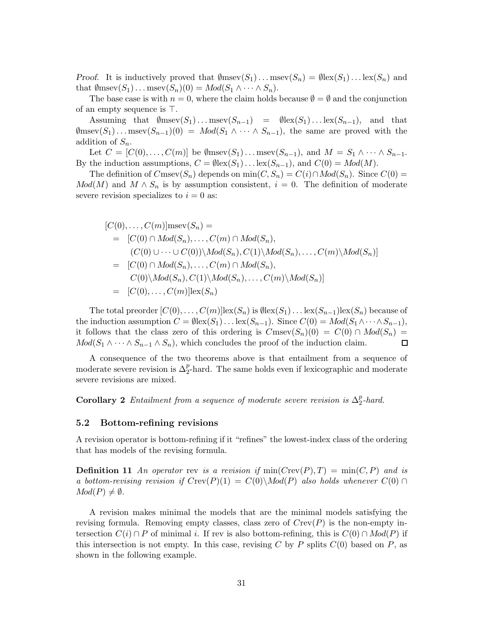*Proof.* It is inductively proved that  $\emptyset$ msev $(S_1)$ ... msev $(S_n) = \emptyset$ lex $(S_1)$ ... lex $(S_n)$  and that  $\emptyset$ msev $(S_1)$ ... msev $(S_n)(0) = Mod(S_1 \wedge \cdots \wedge S_n)$ .

The base case is with  $n = 0$ , where the claim holds because  $\emptyset = \emptyset$  and the conjunction of an empty sequence is ⊤.

Assuming that  $\emptyset$ msev $(S_1) \dots$ msev $(S_{n-1})$  =  $\emptyset$ lex $(S_1) \dots$ lex $(S_{n-1})$ , and that  $\emptyset$ msev $(S_1)$ ... msev $(S_{n-1})(0) = Mod(S_1 \wedge \cdots \wedge S_{n-1})$ , the same are proved with the addition of  $S_n$ .

Let  $C = [C(0), \ldots, C(m)]$  be  $\emptyset$ msev $(S_1) \ldots$ msev $(S_{n-1})$ , and  $M = S_1 \wedge \cdots \wedge S_{n-1}$ . By the induction assumptions,  $C = \emptyset \text{lex}(S_1) \dots \text{lex}(S_{n-1})$ , and  $C(0) = Mod(M)$ .

The definition of  $C$ msev $(S_n)$  depends on min $(C, S_n) = C(i) \cap Mod(S_n)$ . Since  $C(0) =$  $Mod(M)$  and  $M \wedge S_n$  is by assumption consistent,  $i = 0$ . The definition of moderate severe revision specializes to  $i = 0$  as:

$$
[C(0),..., C(m)]msev(S_n) =
$$
  
\n
$$
= [C(0) \cap Mod(S_n),..., C(m) \cap Mod(S_n),
$$
  
\n
$$
(C(0) \cup \cdots \cup C(0)) \setminus Mod(S_n), C(1) \setminus Mod(S_n),..., C(m) \setminus Mod(S_n)]
$$
  
\n
$$
= [C(0) \cap Mod(S_n),..., C(m) \cap Mod(S_n),
$$
  
\n
$$
C(0) \setminus Mod(S_n), C(1) \setminus Mod(S_n),..., C(m) \setminus Mod(S_n)]
$$
  
\n
$$
= [C(0),..., C(m)]lex(S_n)
$$

The total preorder  $[C(0), \ldots, C(m)]\text{lex}(S_n)$  is  $\emptyset \text{lex}(S_1) \ldots \text{lex}(S_{n-1})\text{lex}(S_n)$  because of the induction assumption  $C = \emptyset \text{lex}(S_1) \dots \text{lex}(S_{n-1})$ . Since  $C(0) = Mod(S_1 \wedge \dots \wedge S_{n-1}),$ it follows that the class zero of this ordering is  $C$ msev $(S_n)(0) = C(0) \cap Mod(S_n) =$  $Mod(S_1 \wedge \cdots \wedge S_{n-1} \wedge S_n)$ , which concludes the proof of the induction claim.  $\Box$ 

A consequence of the two theorems above is that entailment from a sequence of moderate severe revision is  $\Delta_2^p$ -hard. The same holds even if lexicographic and moderate severe revisions are mixed.

**Corollary 2** Entailment from a sequence of moderate severe revision is  $\Delta_2^p$ -hard.

### 5.2 Bottom-refining revisions

A revision operator is bottom-refining if it "refines" the lowest-index class of the ordering that has models of the revising formula.

**Definition 11** An operator rev is a revision if  $min(Crev(P), T) = min(C, P)$  and is a bottom-revising revision if  $Crev(P)(1) = C(0) \setminus Mod(P)$  also holds whenever  $C(0) \cap$  $Mod(P) \neq \emptyset$ .

A revision makes minimal the models that are the minimal models satisfying the revising formula. Removing empty classes, class zero of  $Crev(P)$  is the non-empty intersection  $C(i) \cap P$  of minimal i. If rev is also bottom-refining, this is  $C(0) \cap Mod(P)$  if this intersection is not empty. In this case, revising C by P splits  $C(0)$  based on P, as shown in the following example.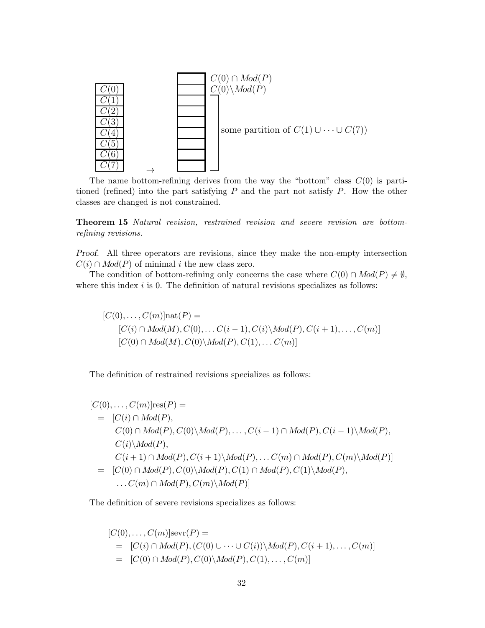

The name bottom-refining derives from the way the "bottom" class  $C(0)$  is partitioned (refined) into the part satisfying  $P$  and the part not satisfy  $P$ . How the other classes are changed is not constrained.

Theorem 15 Natural revision, restrained revision and severe revision are bottomrefining revisions.

Proof. All three operators are revisions, since they make the non-empty intersection  $C(i) \cap Mod(P)$  of minimal i the new class zero.

The condition of bottom-refining only concerns the case where  $C(0) \cap Mod(P) \neq \emptyset$ , where this index  $i$  is 0. The definition of natural revisions specializes as follows:

$$
[C(0),...,C(m)]\text{nat}(P) =
$$
  
\n
$$
[C(i) \cap Mod(M), C(0),... C(i-1), C(i) \backslash Mod(P), C(i+1),..., C(m)]
$$
  
\n
$$
[C(0) \cap Mod(M), C(0) \backslash Mod(P), C(1),... C(m)]
$$

The definition of restrained revisions specializes as follows:

$$
[C(0),...,C(m)]\text{res}(P) =
$$
  
\n
$$
= [C(i) \cap Mod(P),
$$
  
\n
$$
C(0) \cap Mod(P), C(0) \setminus Mod(P), ..., C(i-1) \cap Mod(P), C(i-1) \setminus Mod(P),
$$
  
\n
$$
C(i) \setminus Mod(P),
$$
  
\n
$$
C(i+1) \cap Mod(P), C(i+1) \setminus Mod(P), ... C(m) \cap Mod(P), C(m) \setminus Mod(P)]
$$
  
\n
$$
= [C(0) \cap Mod(P), C(0) \setminus Mod(P), C(1) \cap Mod(P), C(1) \setminus Mod(P), ...
$$
  
\n
$$
... C(m) \cap Mod(P), C(m) \setminus Mod(P)]
$$

The definition of severe revisions specializes as follows:

$$
[C(0),...,C(m)]\text{sevr}(P) =
$$
  
= 
$$
[C(i) \cap Mod(P), (C(0) \cup \cdots \cup C(i)) \setminus Mod(P), C(i+1),..., C(m)]
$$
  
= 
$$
[C(0) \cap Mod(P), C(0) \setminus Mod(P), C(1),..., C(m)]
$$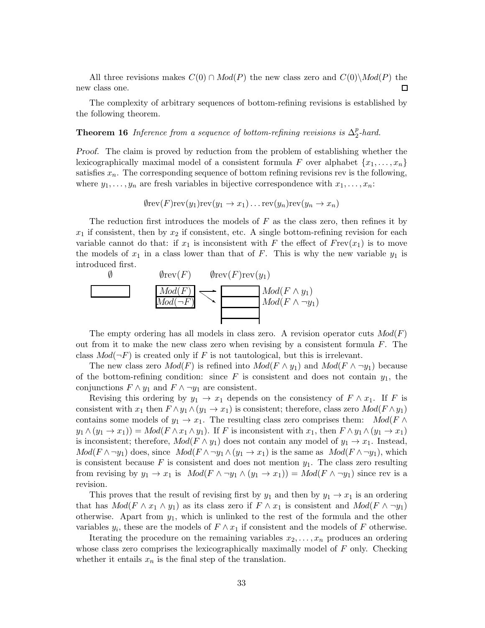All three revisions makes  $C(0) \cap Mod(P)$  the new class zero and  $C(0) \backslash Mod(P)$  the new class one.  $\Box$ 

The complexity of arbitrary sequences of bottom-refining revisions is established by the following theorem.

**Theorem 16** Inference from a sequence of bottom-refining revisions is  $\Delta_2^p$ -hard.

Proof. The claim is proved by reduction from the problem of establishing whether the lexicographically maximal model of a consistent formula F over alphabet  $\{x_1, \ldots, x_n\}$ satisfies  $x_n$ . The corresponding sequence of bottom refining revisions rev is the following, where  $y_1, \ldots, y_n$  are fresh variables in bijective correspondence with  $x_1, \ldots, x_n$ :

$$
\emptyset \text{rev}(F) \text{rev}(y_1) \text{rev}(y_1 \to x_1) \dots \text{rev}(y_n) \text{rev}(y_n \to x_n)
$$

The reduction first introduces the models of  $F$  as the class zero, then refines it by  $x_1$  if consistent, then by  $x_2$  if consistent, etc. A single bottom-refining revision for each variable cannot do that: if  $x_1$  is inconsistent with F the effect of  $Frev(x_1)$  is to move the models of  $x_1$  in a class lower than that of F. This is why the new variable  $y_1$  is introduced first.



The empty ordering has all models in class zero. A revision operator cuts  $Mod(F)$ out from it to make the new class zero when revising by a consistent formula  $F$ . The class  $Mod(\neg F)$  is created only if F is not tautological, but this is irrelevant.

The new class zero  $Mod(F)$  is refined into  $Mod(F \wedge y_1)$  and  $Mod(F \wedge \neg y_1)$  because of the bottom-refining condition: since F is consistent and does not contain  $y_1$ , the conjunctions  $F \wedge y_1$  and  $F \wedge \neg y_1$  are consistent.

Revising this ordering by  $y_1 \to x_1$  depends on the consistency of  $F \wedge x_1$ . If F is consistent with  $x_1$  then  $F \wedge y_1 \wedge (y_1 \rightarrow x_1)$  is consistent; therefore, class zero  $Mod(F \wedge y_1)$ contains some models of  $y_1 \to x_1$ . The resulting class zero comprises them:  $Mod(F \wedge$  $y_1 \wedge (y_1 \to x_1)) = Mod(F \wedge x_1 \wedge y_1)$ . If F is inconsistent with  $x_1$ , then  $F \wedge y_1 \wedge (y_1 \to x_1)$ is inconsistent; therefore,  $Mod(F \wedge y_1)$  does not contain any model of  $y_1 \rightarrow x_1$ . Instead,  $Mod(F \wedge \neg y_1)$  does, since  $Mod(F \wedge \neg y_1 \wedge (y_1 \rightarrow x_1))$  is the same as  $Mod(F \wedge \neg y_1)$ , which is consistent because F is consistent and does not mention  $y_1$ . The class zero resulting from revising by  $y_1 \to x_1$  is  $Mod(F \wedge \neg y_1 \wedge (y_1 \to x_1)) = Mod(F \wedge \neg y_1)$  since rev is a revision.

This proves that the result of revising first by  $y_1$  and then by  $y_1 \rightarrow x_1$  is an ordering that has  $Mod(F \wedge x_1 \wedge y_1)$  as its class zero if  $F \wedge x_1$  is consistent and  $Mod(F \wedge \neg y_1)$ otherwise. Apart from  $y_1$ , which is unlinked to the rest of the formula and the other variables  $y_i$ , these are the models of  $F \wedge x_1$  if consistent and the models of F otherwise.

Iterating the procedure on the remaining variables  $x_2, \ldots, x_n$  produces an ordering whose class zero comprises the lexicographically maximally model of  $F$  only. Checking whether it entails  $x_n$  is the final step of the translation.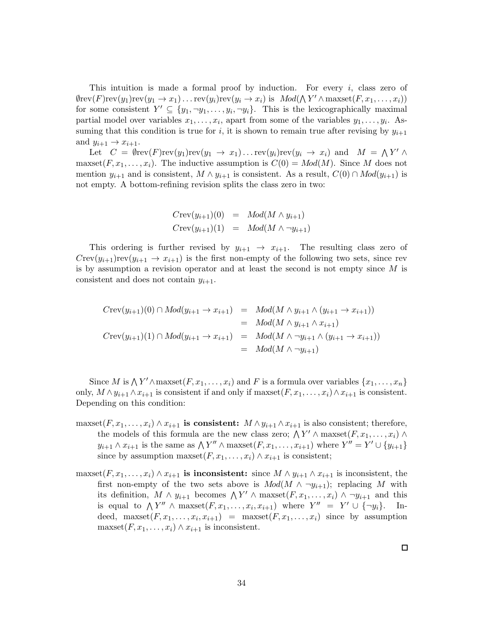This intuition is made a formal proof by induction. For every  $i$ , class zero of  $\emptyset$ rev $(F)$ rev $(y_1)$ rev $(y_1 \to x_1)$ ... rev $(y_i)$ rev $(y_i \to x_i)$  is  $Mod(\bigwedge Y' \wedge \text{maxset}(F, x_1, \ldots, x_i))$ for some consistent  $Y' \subseteq \{y_1, \neg y_1, \ldots, y_i, \neg y_i\}$ . This is the lexicographically maximal partial model over variables  $x_1, \ldots, x_i$ , apart from some of the variables  $y_1, \ldots, y_i$ . Assuming that this condition is true for i, it is shown to remain true after revising by  $y_{i+1}$ and  $y_{i+1} \rightarrow x_{i+1}$ .

Let  $C = \emptyset \text{rev}(F) \text{rev}(y_1) \text{rev}(y_1 \to x_1) \dots \text{rev}(y_i) \text{rev}(y_i \to x_i)$  and  $M = \bigwedge Y' \wedge$ maxset $(F, x_1, \ldots, x_i)$ . The inductive assumption is  $C(0) = Mod(M)$ . Since M does not mention  $y_{i+1}$  and is consistent,  $M \wedge y_{i+1}$  is consistent. As a result,  $C(0) \cap Mod(y_{i+1})$  is not empty. A bottom-refining revision splits the class zero in two:

$$
Crev(y_{i+1})(0) = Mod(M \wedge y_{i+1})
$$
  
\n
$$
Crev(y_{i+1})(1) = Mod(M \wedge \neg y_{i+1})
$$

This ordering is further revised by  $y_{i+1} \rightarrow x_{i+1}$ . The resulting class zero of  $Crev(y_{i+1})rev(y_{i+1} \to x_{i+1})$  is the first non-empty of the following two sets, since rev is by assumption a revision operator and at least the second is not empty since  $M$  is consistent and does not contain  $y_{i+1}$ .

$$
Crev(y_{i+1})(0) \cap Mod(y_{i+1} \to x_{i+1}) = Mod(M \wedge y_{i+1} \wedge (y_{i+1} \to x_{i+1}))
$$
  
=  $Mod(M \wedge y_{i+1} \wedge x_{i+1})$   

$$
Crev(y_{i+1})(1) \cap Mod(y_{i+1} \to x_{i+1}) = Mod(M \wedge \neg y_{i+1} \wedge (y_{i+1} \to x_{i+1}))
$$
  
=  $Mod(M \wedge \neg y_{i+1})$ 

Since M is  $\bigwedge Y' \wedge \max\{F, x_1, \ldots, x_i\}$  and F is a formula over variables  $\{x_1, \ldots, x_n\}$ only,  $M \wedge y_{i+1} \wedge x_{i+1}$  is consistent if and only if maxset $(F, x_1, \ldots, x_i) \wedge x_{i+1}$  is consistent. Depending on this condition:

- maxset $(F, x_1, \ldots, x_i) \wedge x_{i+1}$  is consistent:  $M \wedge y_{i+1} \wedge x_{i+1}$  is also consistent; therefore, the models of this formula are the new class zero;  $\bigwedge Y' \wedge \text{maxset}(F, x_1, \ldots, x_i) \wedge$  $y_{i+1} \wedge x_{i+1}$  is the same as  $\bigwedge Y'' \wedge \text{maxset}(F, x_1, \ldots, x_{i+1})$  where  $Y'' = Y' \cup \{y_{i+1}\}$ since by assumption maxset $(F, x_1, \ldots, x_i) \wedge x_{i+1}$  is consistent;
- maxset $(F, x_1, \ldots, x_i) \wedge x_{i+1}$  is inconsistent: since  $M \wedge y_{i+1} \wedge x_{i+1}$  is inconsistent, the first non-empty of the two sets above is  $Mod(M \wedge \neg y_{i+1})$ ; replacing M with its definition,  $M \wedge y_{i+1}$  becomes  $\bigwedge Y' \wedge \text{maxset}(F, x_1, \ldots, x_i) \wedge \neg y_{i+1}$  and this is equal to  $\bigwedge Y'' \wedge \max\{F, x_1, \ldots, x_i, x_{i+1}\}\$  where  $Y'' = Y' \cup \{\neg y_i\}.$  Indeed, maxset $(F, x_1, \ldots, x_i, x_{i+1})$  = maxset $(F, x_1, \ldots, x_i)$  since by assumption maxset $(F, x_1, \ldots, x_i) \wedge x_{i+1}$  is inconsistent.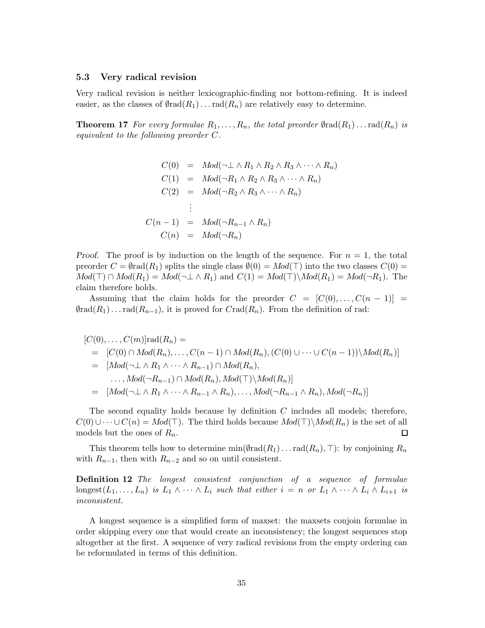#### 5.3 Very radical revision

Very radical revision is neither lexicographic-finding nor bottom-refining. It is indeed easier, as the classes of  $\varphi_{rad}(R_1) \dots rad(R_n)$  are relatively easy to determine.

**Theorem 17** For every formulae  $R_1, \ldots, R_n$ , the total preorder  $\emptyset$ rad $(R_1) \ldots$ rad $(R_n)$  is equivalent to the following preorder C.

$$
C(0) = Mod(\neg \bot \land R_1 \land R_2 \land R_3 \land \cdots \land R_n)
$$
  
\n
$$
C(1) = Mod(\neg R_1 \land R_2 \land R_3 \land \cdots \land R_n)
$$
  
\n
$$
C(2) = Mod(\neg R_2 \land R_3 \land \cdots \land R_n)
$$
  
\n
$$
\vdots
$$
  
\n
$$
C(n-1) = Mod(\neg R_{n-1} \land R_n)
$$
  
\n
$$
C(n) = Mod(\neg R_n)
$$

*Proof.* The proof is by induction on the length of the sequence. For  $n = 1$ , the total preorder  $C = \emptyset$  rad $(R_1)$  splits the single class  $\emptyset(0) = Mod(\top)$  into the two classes  $C(0) =$  $Mod(\top) \cap Mod(R_1) = Mod(\neg \bot \land R_1)$  and  $C(1) = Mod(\top) \backslash Mod(R_1) = Mod(\neg R_1)$ . The claim therefore holds.

Assuming that the claim holds for the preorder  $C = [C(0), \ldots, C(n-1)] =$  $\text{Grad}(R_1) \ldots \text{rad}(R_{n-1}),$  it is proved for  $C \text{rad}(R_n)$ . From the definition of rad:

$$
[C(0),...,C(m)]\text{rad}(R_n) =
$$
  
\n
$$
= [C(0) \cap Mod(R_n),...,C(n-1) \cap Mod(R_n), (C(0) \cup \cdots \cup C(n-1)) \setminus Mod(R_n)]
$$
  
\n
$$
= [Mod(\neg \bot \land R_1 \land \cdots \land R_{n-1}) \cap Mod(R_n),
$$
  
\n
$$
..., Mod(\neg R_{n-1}) \cap Mod(R_n), Mod(\top) \setminus Mod(R_n)]
$$
  
\n
$$
= [Mod(\neg \bot \land R_1 \land \cdots \land R_{n-1} \land R_n), ..., Mod(\neg R_{n-1} \land R_n), Mod(\neg R_n)]
$$

The second equality holds because by definition  $C$  includes all models; therefore,  $C(0) \cup \cdots \cup C(n) = Mod(\top)$ . The third holds because  $Mod(\top) \setminus Mod(R_n)$  is the set of all models but the ones of  $R_n$ .  $\Box$ 

This theorem tells how to determine min( $\text{Mod}(R_1)$ ... rad $(R_n)$ , ⊤): by conjoining  $R_n$ with  $R_{n-1}$ , then with  $R_{n-2}$  and so on until consistent.

Definition 12 The longest consistent conjunction of a sequence of formulae longest $(L_1, \ldots, L_n)$  is  $L_1 \wedge \cdots \wedge L_i$  such that either  $i = n$  or  $L_1 \wedge \cdots \wedge L_i \wedge L_{i+1}$  is inconsistent.

A longest sequence is a simplified form of maxset: the maxsets conjoin formulae in order skipping every one that would create an inconsistency; the longest sequences stop altogether at the first. A sequence of very radical revisions from the empty ordering can be reformulated in terms of this definition.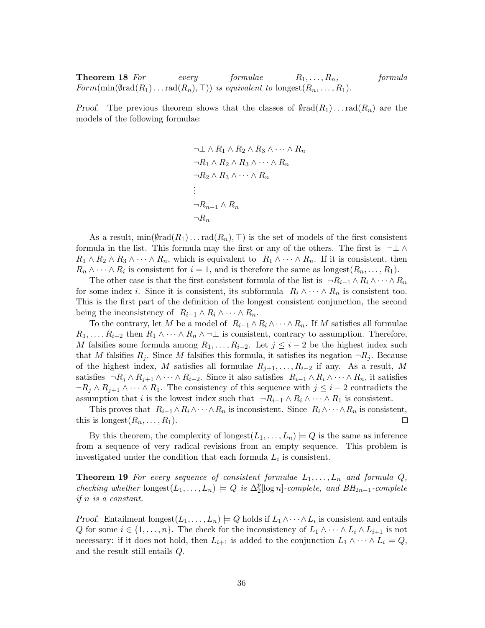**Theorem 18** For every formulae  $R_1, \ldots, R_n$ , formula  $Form(min(\text{Grad}(R_1)\ldots \text{rad}(R_n), \top))$  is equivalent to longest $(R_n, \ldots, R_1)$ .

Proof. The previous theorem shows that the classes of  $\text{Grad}(R_1) \dots \text{rad}(R_n)$  are the models of the following formulae:

$$
\neg \bot \land R_1 \land R_2 \land R_3 \land \cdots \land R_n
$$
  
\n
$$
\neg R_1 \land R_2 \land R_3 \land \cdots \land R_n
$$
  
\n
$$
\neg R_2 \land R_3 \land \cdots \land R_n
$$
  
\n:  
\n:  
\n
$$
\neg R_{n-1} \land R_n
$$
  
\n
$$
\neg R_n
$$

As a result, min $(\emptyset \text{rad}(R_1) \dots \text{rad}(R_n), \top)$  is the set of models of the first consistent formula in the list. This formula may the first or any of the others. The first is  $\neg \bot \wedge$  $R_1 \wedge R_2 \wedge R_3 \wedge \cdots \wedge R_n$ , which is equivalent to  $R_1 \wedge \cdots \wedge R_n$ . If it is consistent, then  $R_n \wedge \cdots \wedge R_i$  is consistent for  $i = 1$ , and is therefore the same as longest $(R_n, \ldots, R_1)$ .

The other case is that the first consistent formula of the list is  $\neg R_{i-1} \wedge R_i \wedge \cdots \wedge R_n$ for some index i. Since it is consistent, its subformula  $R_i \wedge \cdots \wedge R_n$  is consistent too. This is the first part of the definition of the longest consistent conjunction, the second being the inconsistency of  $R_{i-1} \wedge R_i \wedge \cdots \wedge R_n$ .

To the contrary, let M be a model of  $R_{i-1} \wedge R_i \wedge \cdots \wedge R_n$ . If M satisfies all formulae  $R_1, \ldots, R_{i-2}$  then  $R_1 \wedge \cdots \wedge R_n \wedge \neg \bot$  is consistent, contrary to assumption. Therefore, M falsifies some formula among  $R_1, \ldots, R_{i-2}$ . Let  $j \leq i-2$  be the highest index such that M falsifies  $R_j$ . Since M falsifies this formula, it satisfies its negation  $\neg R_j$ . Because of the highest index, M satisfies all formulae  $R_{j+1}, \ldots, R_{i-2}$  if any. As a result, M satisfies  $\neg R_i \wedge R_{i+1} \wedge \cdots \wedge R_{i-2}$ . Since it also satisfies  $R_{i-1} \wedge R_i \wedge \cdots \wedge R_n$ , it satisfies  $\neg R_i \wedge R_{i+1} \wedge \cdots \wedge R_1$ . The consistency of this sequence with  $j \leq i-2$  contradicts the assumption that i is the lowest index such that  $\neg R_{i-1} \wedge R_i \wedge \cdots \wedge R_1$  is consistent.

This proves that  $R_{i-1} \wedge R_i \wedge \cdots \wedge R_n$  is inconsistent. Since  $R_i \wedge \cdots \wedge R_n$  is consistent, this is longest $(R_n, \ldots, R_1)$ .  $\Box$ 

By this theorem, the complexity of longest $(L_1, \ldots, L_n) \models Q$  is the same as inference from a sequence of very radical revisions from an empty sequence. This problem is investigated under the condition that each formula  $L_i$  is consistent.

**Theorem 19** For every sequence of consistent formulae  $L_1, \ldots, L_n$  and formula  $Q$ , checking whether  $\text{longest}(L_1, \ldots, L_n) \models Q$  is  $\Delta_2^p[\log n]$ -complete, and  $BH_{2n-1}$ -complete if n is a constant.

Proof. Entailment  $\text{longest}(L_1, \ldots, L_n) \models Q \text{ holds if } L_1 \wedge \cdots \wedge L_i \text{ is consistent and entails }$ Q for some  $i \in \{1, \ldots, n\}$ . The check for the inconsistency of  $L_1 \wedge \cdots \wedge L_i \wedge L_{i+1}$  is not necessary: if it does not hold, then  $L_{i+1}$  is added to the conjunction  $L_1 \wedge \cdots \wedge L_i \models Q$ , and the result still entails Q.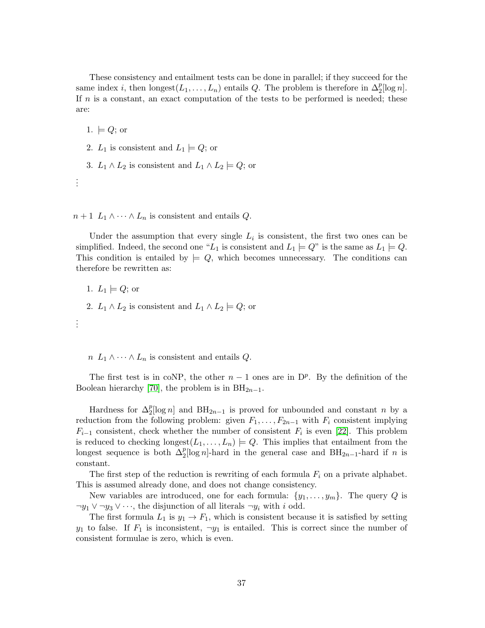These consistency and entailment tests can be done in parallel; if they succeed for the same index *i*, then  $\text{longest}(L_1, \ldots, L_n)$  entails Q. The problem is therefore in  $\Delta_2^p[\log n]$ . If  $n$  is a constant, an exact computation of the tests to be performed is needed; these are:

1.  $\models Q$ ; or

- 2.  $L_1$  is consistent and  $L_1 \models Q$ ; or
- 3.  $L_1 \wedge L_2$  is consistent and  $L_1 \wedge L_2 \models Q$ ; or

. . .

 $n+1$   $L_1 \wedge \cdots \wedge L_n$  is consistent and entails  $Q$ .

Under the assumption that every single  $L_i$  is consistent, the first two ones can be simplified. Indeed, the second one "L<sub>1</sub> is consistent and  $L_1 \models Q$ " is the same as  $L_1 \models Q$ . This condition is entailed by  $\models Q$ , which becomes unnecessary. The conditions can therefore be rewritten as:

1.  $L_1 \models Q$ ; or

2.  $L_1 \wedge L_2$  is consistent and  $L_1 \wedge L_2 \models Q$ ; or

. . .

 $n L_1 \wedge \cdots \wedge L_n$  is consistent and entails  $Q$ .

The first test is in coNP, the other  $n-1$  ones are in  $D^p$ . By the definition of the Boolean hierarchy [\[70\]](#page-48-3), the problem is in  $BH_{2n-1}$ .

Hardness for  $\Delta_2^p[\log n]$  and  $BH_{2n-1}$  is proved for unbounded and constant n by a reduction from the following problem: given  $F_1, \ldots, F_{2n-1}$  with  $F_i$  consistent implying  $F_{i-1}$  consistent, check whether the number of consistent  $F_i$  is even [\[22\]](#page-44-7). This problem is reduced to checking  $\text{longest}(L_1, \ldots, L_n) \models Q$ . This implies that entailment from the longest sequence is both  $\Delta_2^p[\log n]$ -hard in the general case and BH<sub>2n-1</sub>-hard if n is constant.

The first step of the reduction is rewriting of each formula  $F_i$  on a private alphabet. This is assumed already done, and does not change consistency.

New variables are introduced, one for each formula:  $\{y_1, \ldots, y_m\}$ . The query Q is  $\neg y_1 \lor \neg y_3 \lor \cdots$ , the disjunction of all literals  $\neg y_i$  with i odd.

The first formula  $L_1$  is  $y_1 \to F_1$ , which is consistent because it is satisfied by setting  $y_1$  to false. If  $F_1$  is inconsistent,  $\neg y_1$  is entailed. This is correct since the number of consistent formulae is zero, which is even.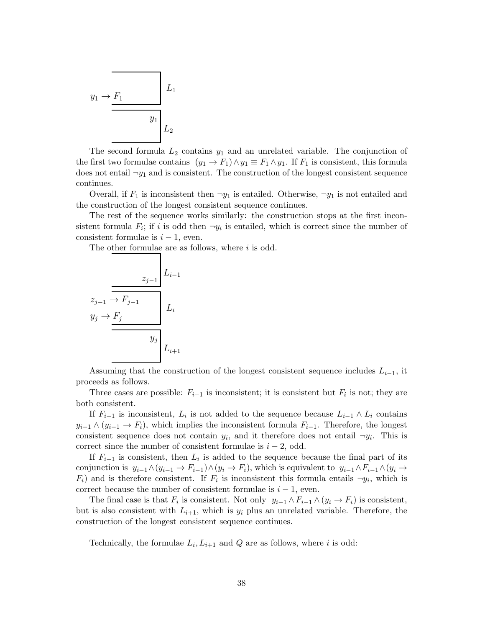$$
y_1 \rightarrow \underbrace{F_1}_{y_1}
$$
  

$$
L_1
$$
  

$$
y_1
$$
  

$$
L_2
$$

The second formula  $L_2$  contains  $y_1$  and an unrelated variable. The conjunction of the first two formulae contains  $(y_1 \to F_1) \wedge y_1 \equiv F_1 \wedge y_1$ . If  $F_1$  is consistent, this formula does not entail  $\neg y_1$  and is consistent. The construction of the longest consistent sequence continues.

Overall, if  $F_1$  is inconsistent then  $\neg y_1$  is entailed. Otherwise,  $\neg y_1$  is not entailed and the construction of the longest consistent sequence continues.

The rest of the sequence works similarly: the construction stops at the first inconsistent formula  $F_i$ ; if i is odd then  $\neg y_i$  is entailed, which is correct since the number of consistent formulae is  $i - 1$ , even.

The other formulae are as follows, where  $i$  is odd.

$$
z_{j-1} \overline{) \overline{F_{j-1}}}
$$
\n
$$
y_j \rightarrow F_j
$$
\n
$$
y_j
$$
\n
$$
y_j
$$
\n
$$
y_j
$$
\n
$$
L_{i+1}
$$

Assuming that the construction of the longest consistent sequence includes  $L_{i-1}$ , it proceeds as follows.

Three cases are possible:  $F_{i-1}$  is inconsistent; it is consistent but  $F_i$  is not; they are both consistent.

If  $F_{i-1}$  is inconsistent,  $L_i$  is not added to the sequence because  $L_{i-1} \wedge L_i$  contains  $y_{i-1} \wedge (y_{i-1} \rightarrow F_i)$ , which implies the inconsistent formula  $F_{i-1}$ . Therefore, the longest consistent sequence does not contain  $y_i$ , and it therefore does not entail  $\neg y_i$ . This is correct since the number of consistent formulae is  $i - 2$ , odd.

If  $F_{i-1}$  is consistent, then  $L_i$  is added to the sequence because the final part of its conjunction is  $y_{i-1} \wedge (y_{i-1} \to F_{i-1}) \wedge (y_i \to F_i)$ , which is equivalent to  $y_{i-1} \wedge F_{i-1} \wedge (y_i \to F_i)$  $F_i$ ) and is therefore consistent. If  $F_i$  is inconsistent this formula entails  $\neg y_i$ , which is correct because the number of consistent formulae is  $i - 1$ , even.

The final case is that  $F_i$  is consistent. Not only  $y_{i-1} \wedge F_{i-1} \wedge (y_i \rightarrow F_i)$  is consistent, but is also consistent with  $L_{i+1}$ , which is  $y_i$  plus an unrelated variable. Therefore, the construction of the longest consistent sequence continues.

Technically, the formulae  $L_i, L_{i+1}$  and Q are as follows, where i is odd: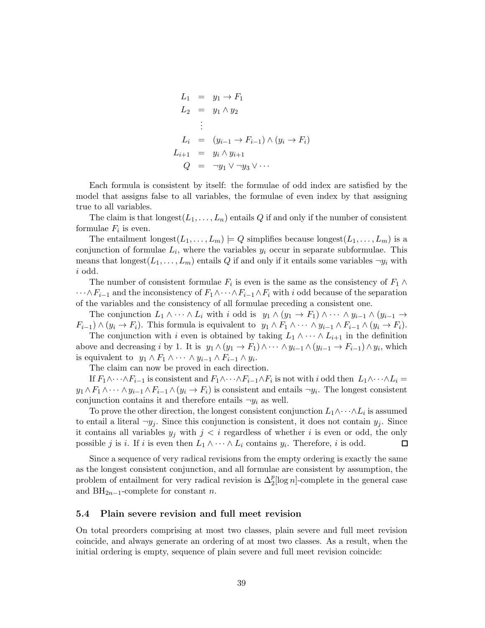$$
L_1 = y_1 \rightarrow F_1
$$
  
\n
$$
L_2 = y_1 \land y_2
$$
  
\n
$$
\vdots
$$
  
\n
$$
L_i = (y_{i-1} \rightarrow F_{i-1}) \land (y_i \rightarrow F_i)
$$
  
\n
$$
L_{i+1} = y_i \land y_{i+1}
$$
  
\n
$$
Q = \neg y_1 \lor \neg y_3 \lor \cdots
$$

Each formula is consistent by itself: the formulae of odd index are satisfied by the model that assigns false to all variables, the formulae of even index by that assigning true to all variables.

The claim is that  $\text{longest}(L_1, \ldots, L_n)$  entails Q if and only if the number of consistent formulae  $F_i$  is even.

The entailment longest $(L_1, \ldots, L_m) \models Q$  simplifies because longest $(L_1, \ldots, L_m)$  is a conjunction of formulae  $L_i$ , where the variables  $y_i$  occur in separate subformulae. This means that longest $(L_1, \ldots, L_m)$  entails Q if and only if it entails some variables  $\neg y_i$  with i odd.

The number of consistent formulae  $F_i$  is even is the same as the consistency of  $F_1 \wedge$  $\cdots \wedge F_{i-1}$  and the inconsistency of  $F_1 \wedge \cdots \wedge F_{i-1} \wedge F_i$  with i odd because of the separation of the variables and the consistency of all formulae preceding a consistent one.

The conjunction  $L_1 \wedge \cdots \wedge L_i$  with i odd is  $y_1 \wedge (y_1 \rightarrow F_1) \wedge \cdots \wedge y_{i-1} \wedge (y_{i-1} \rightarrow$  $F_{i-1} \wedge (y_i \to F_i)$ . This formula is equivalent to  $y_1 \wedge F_1 \wedge \cdots \wedge y_{i-1} \wedge F_{i-1} \wedge (y_i \to F_i)$ .

The conjunction with i even is obtained by taking  $L_1 \wedge \cdots \wedge L_{i+1}$  in the definition above and decreasing i by 1. It is  $y_1 \wedge (y_1 \rightarrow F_1) \wedge \cdots \wedge y_{i-1} \wedge (y_{i-1} \rightarrow F_{i-1}) \wedge y_i$ , which is equivalent to  $y_1 \wedge F_1 \wedge \cdots \wedge y_{i-1} \wedge F_{i-1} \wedge y_i$ .

The claim can now be proved in each direction.

If  $F_1 \wedge \cdots \wedge F_{i-1}$  is consistent and  $F_1 \wedge \cdots \wedge F_{i-1} \wedge F_i$  is not with i odd then  $L_1 \wedge \cdots \wedge L_i =$  $y_1 \wedge F_1 \wedge \cdots \wedge y_{i-1} \wedge F_{i-1} \wedge (y_i \rightarrow F_i)$  is consistent and entails  $\neg y_i$ . The longest consistent conjunction contains it and therefore entails  $\neg y_i$  as well.

To prove the other direction, the longest consistent conjunction  $L_1 \wedge \cdots \wedge L_i$  is assumed to entail a literal  $\neg y_j$ . Since this conjunction is consistent, it does not contain  $y_j$ . Since it contains all variables  $y_j$  with  $j < i$  regardless of whether i is even or odd, the only possible j is i. If i is even then  $L_1 \wedge \cdots \wedge L_i$  contains  $y_i$ . Therefore, i is odd.  $\Box$ 

Since a sequence of very radical revisions from the empty ordering is exactly the same as the longest consistent conjunction, and all formulae are consistent by assumption, the problem of entailment for very radical revision is  $\Delta_2^p[\log n]$ -complete in the general case and  $BH_{2n-1}$ -complete for constant *n*.

### 5.4 Plain severe revision and full meet revision

On total preorders comprising at most two classes, plain severe and full meet revision coincide, and always generate an ordering of at most two classes. As a result, when the initial ordering is empty, sequence of plain severe and full meet revision coincide: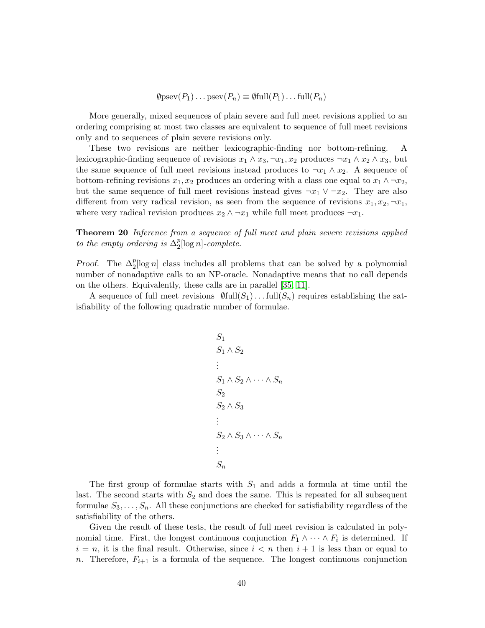$\emptyset$ psev $(P_1) \dots$ psev $(P_n) \equiv \emptyset$ full $(P_1) \dots$ full $(P_n)$ 

More generally, mixed sequences of plain severe and full meet revisions applied to an ordering comprising at most two classes are equivalent to sequence of full meet revisions only and to sequences of plain severe revisions only.

These two revisions are neither lexicographic-finding nor bottom-refining. A lexicographic-finding sequence of revisions  $x_1 \wedge x_3, \neg x_1, x_2$  produces  $\neg x_1 \wedge x_2 \wedge x_3$ , but the same sequence of full meet revisions instead produces to  $\neg x_1 \wedge x_2$ . A sequence of bottom-refining revisions  $x_1, x_2$  produces an ordering with a class one equal to  $x_1 \wedge \neg x_2$ , but the same sequence of full meet revisions instead gives  $\neg x_1 \lor \neg x_2$ . They are also different from very radical revision, as seen from the sequence of revisions  $x_1, x_2, \neg x_1$ , where very radical revision produces  $x_2 \wedge \neg x_1$  while full meet produces  $\neg x_1$ .

**Theorem 20** Inference from a sequence of full meet and plain severe revisions applied to the empty ordering is  $\Delta_2^p[\log n]$ -complete.

*Proof.* The  $\Delta_2^p[\log n]$  class includes all problems that can be solved by a polynomial number of nonadaptive calls to an NP-oracle. Nonadaptive means that no call depends on the others. Equivalently, these calls are in parallel [\[35,](#page-45-9) [11\]](#page-44-8).

A sequence of full meet revisions  $\mathcal{Y}$ full $(S_1)$ ... full $(S_n)$  requires establishing the satisfiability of the following quadratic number of formulae.

$$
S_1
$$
  
\n
$$
S_1 \wedge S_2
$$
  
\n
$$
\vdots
$$
  
\n
$$
S_1 \wedge S_2 \wedge \cdots \wedge S_n
$$
  
\n
$$
S_2
$$
  
\n
$$
S_2 \wedge S_3 \wedge \cdots \wedge S_n
$$
  
\n
$$
\vdots
$$
  
\n
$$
S_n
$$

The first group of formulae starts with  $S_1$  and adds a formula at time until the last. The second starts with  $S_2$  and does the same. This is repeated for all subsequent formulae  $S_3, \ldots, S_n$ . All these conjunctions are checked for satisfiability regardless of the satisfiability of the others.

Given the result of these tests, the result of full meet revision is calculated in polynomial time. First, the longest continuous conjunction  $F_1 \wedge \cdots \wedge F_i$  is determined. If  $i = n$ , it is the final result. Otherwise, since  $i < n$  then  $i + 1$  is less than or equal to n. Therefore,  $F_{i+1}$  is a formula of the sequence. The longest continuous conjunction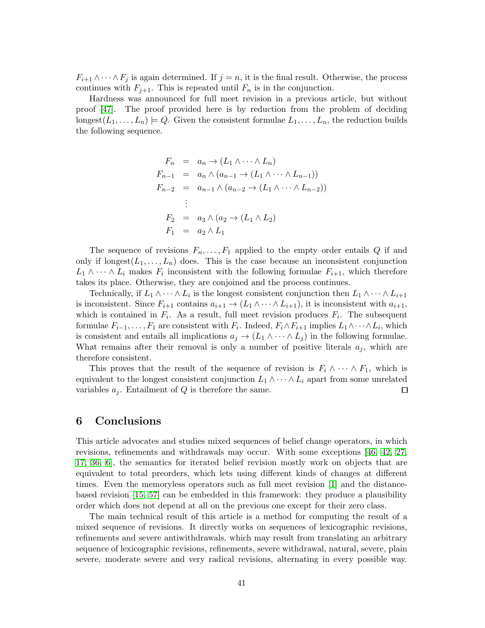$F_{i+1} \wedge \cdots \wedge F_j$  is again determined. If  $j = n$ , it is the final result. Otherwise, the process continues with  $F_{j+1}$ . This is repeated until  $F_n$  is in the conjunction.

Hardness was announced for full meet revision in a previous article, but without proof [\[47\]](#page-46-7). The proof provided here is by reduction from the problem of deciding longest $(L_1, \ldots, L_n) \models Q$ . Given the consistent formulae  $L_1, \ldots, L_n$ , the reduction builds the following sequence.

$$
F_n = a_n \rightarrow (L_1 \land \cdots \land L_n)
$$
  
\n
$$
F_{n-1} = a_n \land (a_{n-1} \rightarrow (L_1 \land \cdots \land L_{n-1}))
$$
  
\n
$$
F_{n-2} = a_{n-1} \land (a_{n-2} \rightarrow (L_1 \land \cdots \land L_{n-2}))
$$
  
\n
$$
\vdots
$$
  
\n
$$
F_2 = a_3 \land (a_2 \rightarrow (L_1 \land L_2))
$$
  
\n
$$
F_1 = a_2 \land L_1
$$

The sequence of revisions  $F_n, \ldots, F_1$  applied to the empty order entails Q if and only if longest $(L_1, \ldots, L_n)$  does. This is the case because an inconsistent conjunction  $L_1 \wedge \cdots \wedge L_i$  makes  $F_i$  inconsistent with the following formulae  $F_{i+1}$ , which therefore takes its place. Otherwise, they are conjoined and the process continues.

Technically, if  $L_1 \wedge \cdots \wedge L_i$  is the longest consistent conjunction then  $L_1 \wedge \cdots \wedge L_{i+1}$ is inconsistent. Since  $F_{i+1}$  contains  $a_{i+1} \to (L_1 \wedge \cdots \wedge L_{i+1}),$  it is inconsistent with  $a_{i+1}$ , which is contained in  $F_i$ . As a result, full meet revision produces  $F_i$ . The subsequent formulae  $F_{i-1}, \ldots, F_1$  are consistent with  $F_i$ . Indeed,  $F_i \wedge F_{i+1}$  implies  $L_1 \wedge \cdots \wedge L_i$ , which is consistent and entails all implications  $a_j \to (L_1 \wedge \cdots \wedge L_j)$  in the following formulae. What remains after their removal is only a number of positive literals  $a_i$ , which are therefore consistent.

This proves that the result of the sequence of revision is  $F_i \wedge \cdots \wedge F_1$ , which is equivalent to the longest consistent conjunction  $L_1 \wedge \cdots \wedge L_i$  apart from some unrelated variables  $a_j$ . Entailment of Q is therefore the same.  $\Box$ 

# <span id="page-40-0"></span>6 Conclusions

This article advocates and studies mixed sequences of belief change operators, in which revisions, refinements and withdrawals may occur. With some exceptions [\[46,](#page-46-12) [42,](#page-46-13) [27,](#page-45-10) [17,](#page-44-9) [36,](#page-45-11) [6\]](#page-43-7), the semantics for iterated belief revision mostly work on objects that are equivalent to total preorders, which lets using different kinds of changes at different times. Even the memoryless operators such as full meet revision [\[1\]](#page-43-0) and the distancebased revision [\[15,](#page-44-10) [57\]](#page-47-8) can be embedded in this framework: they produce a plausibility order which does not depend at all on the previous one except for their zero class.

The main technical result of this article is a method for computing the result of a mixed sequence of revisions. It directly works on sequences of lexicographic revisions, refinements and severe antiwithdrawals, which may result from translating an arbitrary sequence of lexicographic revisions, refinements, severe withdrawal, natural, severe, plain severe, moderate severe and very radical revisions, alternating in every possible way.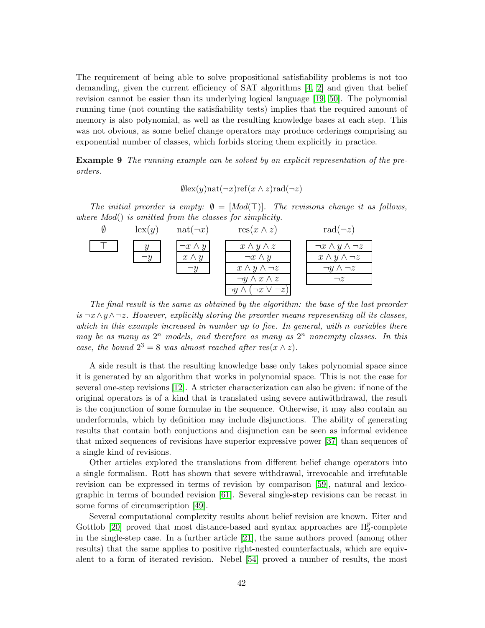The requirement of being able to solve propositional satisfiability problems is not too demanding, given the current efficiency of SAT algorithms [\[4,](#page-43-4) [2\]](#page-43-5) and given that belief revision cannot be easier than its underlying logical language [\[19,](#page-44-3) [50\]](#page-46-5). The polynomial running time (not counting the satisfiability tests) implies that the required amount of memory is also polynomial, as well as the resulting knowledge bases at each step. This was not obvious, as some belief change operators may produce orderings comprising an exponential number of classes, which forbids storing them explicitly in practice.

Example 9 The running example can be solved by an explicit representation of the preorders.

$$
\emptyset \text{lex}(y) \text{nat}(\neg x) \text{ref}(x \land z) \text{rad}(\neg z)
$$

The initial preorder is empty:  $\emptyset = [Mod(T)]$ . The revisions change it as follows, where Mod() is omitted from the classes for simplicity.

| $\operatorname{lex}(y)$ | $nat(\neg x)$     | $res(x \wedge z)$                 | rad $(\neg z)$                  |
|-------------------------|-------------------|-----------------------------------|---------------------------------|
|                         | $\neg x \wedge y$ | $x \wedge y \wedge z$             | $\neg x \wedge y \wedge \neg z$ |
| $\neg y$                | $x \wedge y$      | $\neg x \wedge y$                 | $x \wedge y \wedge \neg z$      |
|                         |                   | $x \wedge y \wedge \neg z$        | $\neg y \wedge \neg z$          |
|                         |                   | $\neg y \wedge x \wedge z$        | $\neg z$                        |
|                         |                   | $\neg x \vee \neg z)$<br>$\neg y$ |                                 |

The final result is the same as obtained by the algorithm: the base of the last preorder is  $\neg x \wedge y \wedge \neg z$ . However, explicitly storing the preorder means representing all its classes, which in this example increased in number up to five. In general, with n variables there may be as many as  $2^n$  models, and therefore as many as  $2^n$  nonempty classes. In this case, the bound  $2^3 = 8$  was almost reached after res( $x \wedge z$ ).

A side result is that the resulting knowledge base only takes polynomial space since it is generated by an algorithm that works in polynomial space. This is not the case for several one-step revisions [\[12\]](#page-44-1). A stricter characterization can also be given: if none of the original operators is of a kind that is translated using severe antiwithdrawal, the result is the conjunction of some formulae in the sequence. Otherwise, it may also contain an underformula, which by definition may include disjunctions. The ability of generating results that contain both conjuctions and disjunction can be seen as informal evidence that mixed sequences of revisions have superior expressive power [\[37\]](#page-45-12) than sequences of a single kind of revisions.

Other articles explored the translations from different belief change operators into a single formalism. Rott has shown that severe withdrawal, irrevocable and irrefutable revision can be expressed in terms of revision by comparison [\[59\]](#page-47-2), natural and lexicographic in terms of bounded revision [\[61\]](#page-47-9). Several single-step revisions can be recast in some forms of circumscription [\[49\]](#page-46-14).

Several computational complexity results about belief revision are known. Eiter and Gottlob [\[20\]](#page-44-11) proved that most distance-based and syntax approaches are  $\Pi_2^p$ -complete in the single-step case. In a further article [\[21\]](#page-44-12), the same authors proved (among other results) that the same applies to positive right-nested counterfactuals, which are equivalent to a form of iterated revision. Nebel [\[54\]](#page-46-4) proved a number of results, the most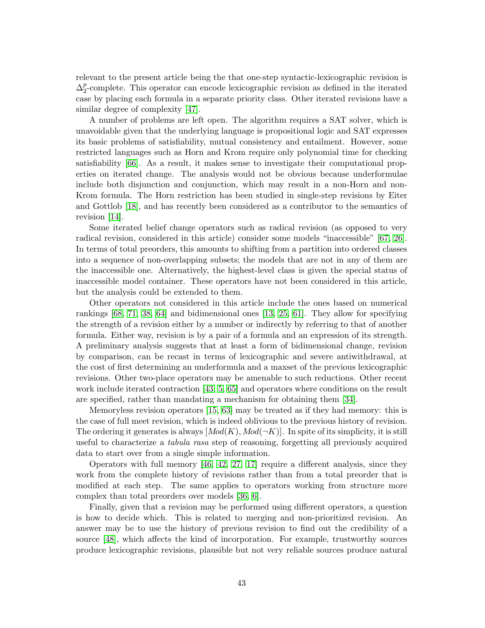relevant to the present article being the that one-step syntactic-lexicographic revision is  $\Delta_2^p$ -complete. This operator can encode lexicographic revision as defined in the iterated case by placing each formula in a separate priority class. Other iterated revisions have a similar degree of complexity [\[47\]](#page-46-7).

A number of problems are left open. The algorithm requires a SAT solver, which is unavoidable given that the underlying language is propositional logic and SAT expresses its basic problems of satisfiability, mutual consistency and entailment. However, some restricted languages such as Horn and Krom require only polynomial time for checking satisfiability [\[66\]](#page-47-10). As a result, it makes sense to investigate their computational properties on iterated change. The analysis would not be obvious because underformulae include both disjunction and conjunction, which may result in a non-Horn and non-Krom formula. The Horn restriction has been studied in single-step revisions by Eiter and Gottlob [\[18\]](#page-44-13), and has recently been considered as a contributor to the semantics of revision [\[14\]](#page-44-2).

Some iterated belief change operators such as radical revision (as opposed to very radical revision, considered in this article) consider some models "inaccessible" [\[67,](#page-47-7) [26\]](#page-45-13). In terms of total preorders, this amounts to shifting from a partition into ordered classes into a sequence of non-overlapping subsets; the models that are not in any of them are the inaccessible one. Alternatively, the highest-level class is given the special status of inaccessible model container. These operators have not been considered in this article, but the analysis could be extended to them.

Other operators not considered in this article include the ones based on numerical rankings  $[68, 71, 38, 64]$  $[68, 71, 38, 64]$  $[68, 71, 38, 64]$  $[68, 71, 38, 64]$  and bidimensional ones  $[13, 25, 61]$  $[13, 25, 61]$  $[13, 25, 61]$ . They allow for specifying the strength of a revision either by a number or indirectly by referring to that of another formula. Either way, revision is by a pair of a formula and an expression of its strength. A preliminary analysis suggests that at least a form of bidimensional change, revision by comparison, can be recast in terms of lexicographic and severe antiwithdrawal, at the cost of first determining an underformula and a maxset of the previous lexicographic revisions. Other two-place operators may be amenable to such reductions. Other recent work include iterated contraction [\[43,](#page-46-8) [5,](#page-43-8) [65\]](#page-47-0) and operators where conditions on the result are specified, rather than mandating a mechanism for obtaining them [\[34\]](#page-45-14).

Memoryless revision operators [\[15,](#page-44-10) [63\]](#page-47-12) may be treated as if they had memory: this is the case of full meet revision, which is indeed oblivious to the previous history of revision. The ordering it generates is always  $[Mod(K), Mod(\neg K)]$ . In spite of its simplicity, it is still useful to characterize a tabula rasa step of reasoning, forgetting all previously acquired data to start over from a single simple information.

Operators with full memory [\[46,](#page-46-12) [42,](#page-46-13) [27,](#page-45-10) [17\]](#page-44-9) require a different analysis, since they work from the complete history of revisions rather than from a total preorder that is modified at each step. The same applies to operators working from structure more complex than total preorders over models [\[36,](#page-45-11) [6\]](#page-43-7).

Finally, given that a revision may be performed using different operators, a question is how to decide which. This is related to merging and non-prioritized revision. An answer may be to use the history of previous revision to find out the credibility of a source [\[48\]](#page-46-2), which affects the kind of incorporation. For example, trustworthy sources produce lexicographic revisions, plausible but not very reliable sources produce natural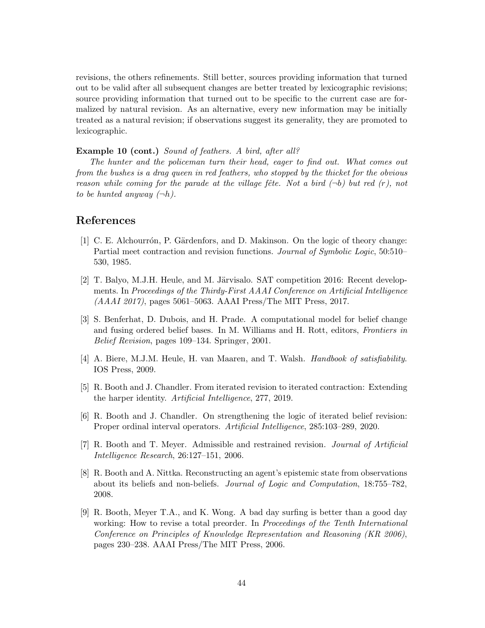revisions, the others refinements. Still better, sources providing information that turned out to be valid after all subsequent changes are better treated by lexicographic revisions; source providing information that turned out to be specific to the current case are formalized by natural revision. As an alternative, every new information may be initially treated as a natural revision; if observations suggest its generality, they are promoted to lexicographic.

### Example 10 (cont.) Sound of feathers. A bird, after all?

The hunter and the policeman turn their head, eager to find out. What comes out from the bushes is a drag queen in red feathers, who stopped by the thicket for the obvious reason while coming for the parade at the village fête. Not a bird  $(\neg b)$  but red  $(r)$ , not to be hunted anyway  $(\neg h)$ .

# <span id="page-43-0"></span>References

- [1] C. E. Alchourrón, P. Gärdenfors, and D. Makinson. On the logic of theory change: Partial meet contraction and revision functions. *Journal of Symbolic Logic*, 50:510– 530, 1985.
- <span id="page-43-5"></span>[2] T. Balyo, M.J.H. Heule, and M. Järvisalo. SAT competition 2016: Recent developments. In Proceedings of the Thirdy-First AAAI Conference on Artificial Intelligence (AAAI 2017), pages 5061–5063. AAAI Press/The MIT Press, 2017.
- <span id="page-43-6"></span>[3] S. Benferhat, D. Dubois, and H. Prade. A computational model for belief change and fusing ordered belief bases. In M. Williams and H. Rott, editors, Frontiers in Belief Revision, pages 109–134. Springer, 2001.
- <span id="page-43-4"></span>[4] A. Biere, M.J.M. Heule, H. van Maaren, and T. Walsh. Handbook of satisfiability. IOS Press, 2009.
- <span id="page-43-8"></span><span id="page-43-7"></span>[5] R. Booth and J. Chandler. From iterated revision to iterated contraction: Extending the harper identity. Artificial Intelligence, 277, 2019.
- <span id="page-43-2"></span>[6] R. Booth and J. Chandler. On strengthening the logic of iterated belief revision: Proper ordinal interval operators. Artificial Intelligence, 285:103–289, 2020.
- [7] R. Booth and T. Meyer. Admissible and restrained revision. Journal of Artificial Intelligence Research, 26:127–151, 2006.
- <span id="page-43-3"></span>[8] R. Booth and A. Nittka. Reconstructing an agent's epistemic state from observations about its beliefs and non-beliefs. Journal of Logic and Computation, 18:755–782, 2008.
- <span id="page-43-1"></span>[9] R. Booth, Meyer T.A., and K. Wong. A bad day surfing is better than a good day working: How to revise a total preorder. In *Proceedings of the Tenth International* Conference on Principles of Knowledge Representation and Reasoning (KR 2006), pages 230–238. AAAI Press/The MIT Press, 2006.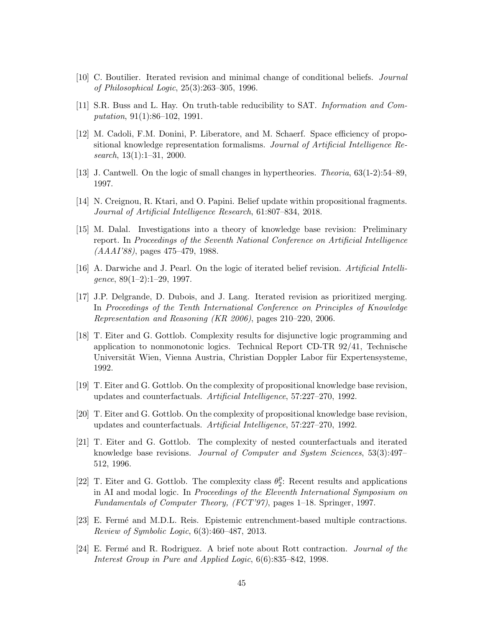- <span id="page-44-8"></span><span id="page-44-0"></span>[10] C. Boutilier. Iterated revision and minimal change of conditional beliefs. Journal of Philosophical Logic, 25(3):263–305, 1996.
- <span id="page-44-1"></span>[11] S.R. Buss and L. Hay. On truth-table reducibility to SAT. Information and Computation, 91(1):86–102, 1991.
- [12] M. Cadoli, F.M. Donini, P. Liberatore, and M. Schaerf. Space efficiency of propositional knowledge representation formalisms. Journal of Artificial Intelligence Research,  $13(1):1-31$ , 2000.
- <span id="page-44-14"></span><span id="page-44-2"></span>[13] J. Cantwell. On the logic of small changes in hypertheories. Theoria, 63(1-2):54–89, 1997.
- <span id="page-44-10"></span>[14] N. Creignou, R. Ktari, and O. Papini. Belief update within propositional fragments. Journal of Artificial Intelligence Research, 61:807–834, 2018.
- [15] M. Dalal. Investigations into a theory of knowledge base revision: Preliminary report. In Proceedings of the Seventh National Conference on Artificial Intelligence (AAAI'88), pages 475–479, 1988.
- <span id="page-44-9"></span><span id="page-44-4"></span>[16] A. Darwiche and J. Pearl. On the logic of iterated belief revision. Artificial Intelligence,  $89(1-2):1-29$ , 1997.
- [17] J.P. Delgrande, D. Dubois, and J. Lang. Iterated revision as prioritized merging. In Proceedings of the Tenth International Conference on Principles of Knowledge Representation and Reasoning (KR 2006), pages 210–220, 2006.
- <span id="page-44-13"></span>[18] T. Eiter and G. Gottlob. Complexity results for disjunctive logic programming and application to nonmonotonic logics. Technical Report CD-TR 92/41, Technische Universität Wien, Vienna Austria, Christian Doppler Labor für Expertensysteme, 1992.
- <span id="page-44-11"></span><span id="page-44-3"></span>[19] T. Eiter and G. Gottlob. On the complexity of propositional knowledge base revision, updates and counterfactuals. Artificial Intelligence, 57:227–270, 1992.
- <span id="page-44-12"></span>[20] T. Eiter and G. Gottlob. On the complexity of propositional knowledge base revision, updates and counterfactuals. Artificial Intelligence, 57:227–270, 1992.
- [21] T. Eiter and G. Gottlob. The complexity of nested counterfactuals and iterated knowledge base revisions. Journal of Computer and System Sciences, 53(3):497– 512, 1996.
- <span id="page-44-7"></span>[22] T. Eiter and G. Gottlob. The complexity class  $\theta_2^p$ : Recent results and applications in AI and modal logic. In Proceedings of the Eleventh International Symposium on Fundamentals of Computer Theory, (FCT'97), pages 1–18. Springer, 1997.
- <span id="page-44-5"></span>[23] E. Ferm´e and M.D.L. Reis. Epistemic entrenchment-based multiple contractions. Review of Symbolic Logic, 6(3):460–487, 2013.
- <span id="page-44-6"></span>[24] E. Fermé and R. Rodriguez. A brief note about Rott contraction. Journal of the Interest Group in Pure and Applied Logic, 6(6):835–842, 1998.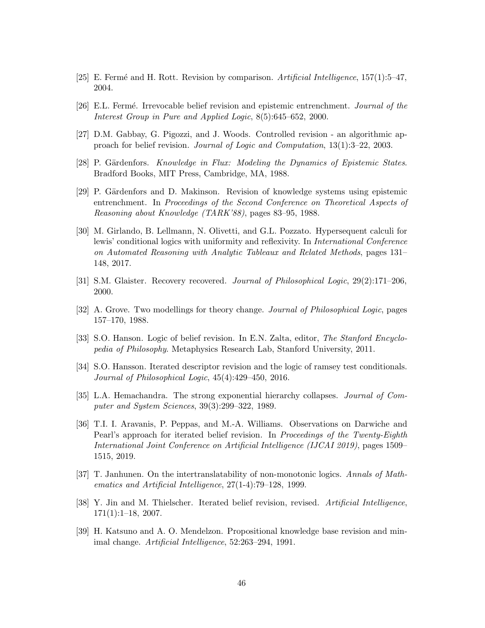- <span id="page-45-13"></span><span id="page-45-1"></span>[25] E. Fermé and H. Rott. Revision by comparison. Artificial Intelligence,  $157(1):5-47$ , 2004.
- <span id="page-45-10"></span>[26] E.L. Fermé. Irrevocable belief revision and epistemic entrenchment. *Journal of the* Interest Group in Pure and Applied Logic, 8(5):645–652, 2000.
- <span id="page-45-2"></span>[27] D.M. Gabbay, G. Pigozzi, and J. Woods. Controlled revision - an algorithmic approach for belief revision. Journal of Logic and Computation, 13(1):3–22, 2003.
- <span id="page-45-3"></span>[28] P. Gärdenfors. Knowledge in Flux: Modeling the Dynamics of Epistemic States. Bradford Books, MIT Press, Cambridge, MA, 1988.
- [29] P. Gärdenfors and D. Makinson. Revision of knowledge systems using epistemic entrenchment. In Proceedings of the Second Conference on Theoretical Aspects of Reasoning about Knowledge (TARK'88), pages 83–95, 1988.
- <span id="page-45-5"></span>[30] M. Girlando, B. Lellmann, N. Olivetti, and G.L. Pozzato. Hypersequent calculi for lewis' conditional logics with uniformity and reflexivity. In International Conference on Automated Reasoning with Analytic Tableaux and Related Methods, pages 131– 148, 2017.
- <span id="page-45-7"></span><span id="page-45-4"></span>[31] S.M. Glaister. Recovery recovered. Journal of Philosophical Logic, 29(2):171–206, 2000.
- <span id="page-45-8"></span>[32] A. Grove. Two modellings for theory change. Journal of Philosophical Logic, pages 157–170, 1988.
- <span id="page-45-14"></span>[33] S.O. Hanson. Logic of belief revision. In E.N. Zalta, editor, *The Stanford Encyclo*pedia of Philosophy. Metaphysics Research Lab, Stanford University, 2011.
- [34] S.O. Hansson. Iterated descriptor revision and the logic of ramsey test conditionals. Journal of Philosophical Logic, 45(4):429–450, 2016.
- <span id="page-45-11"></span><span id="page-45-9"></span>[35] L.A. Hemachandra. The strong exponential hierarchy collapses. Journal of Computer and System Sciences, 39(3):299–322, 1989.
- [36] T.I. I. Aravanis, P. Peppas, and M.-A. Williams. Observations on Darwiche and Pearl's approach for iterated belief revision. In Proceedings of the Twenty-Eighth International Joint Conference on Artificial Intelligence (IJCAI 2019), pages 1509– 1515, 2019.
- <span id="page-45-12"></span>[37] T. Janhunen. On the intertranslatability of non-monotonic logics. Annals of Mathematics and Artificial Intelligence, 27(1-4):79–128, 1999.
- <span id="page-45-0"></span>[38] Y. Jin and M. Thielscher. Iterated belief revision, revised. Artificial Intelligence,  $171(1):1-18$ , 2007.
- <span id="page-45-6"></span>[39] H. Katsuno and A. O. Mendelzon. Propositional knowledge base revision and minimal change. Artificial Intelligence, 52:263–294, 1991.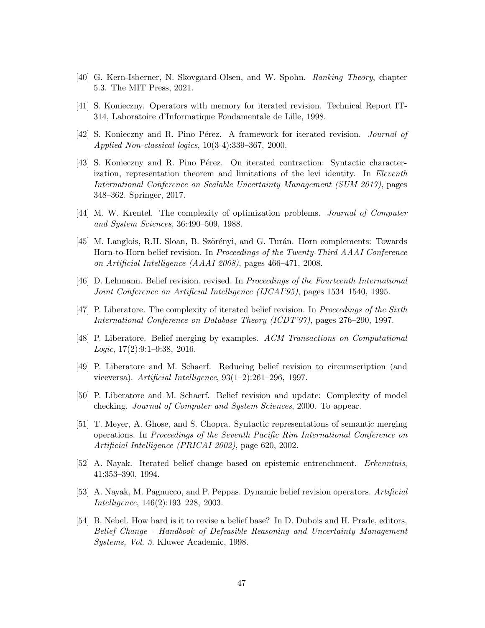- <span id="page-46-9"></span><span id="page-46-1"></span>[40] G. Kern-Isberner, N. Skovgaard-Olsen, and W. Spohn. Ranking Theory, chapter 5.3. The MIT Press, 2021.
- <span id="page-46-13"></span>[41] S. Konieczny. Operators with memory for iterated revision. Technical Report IT-314, Laboratoire d'Informatique Fondamentale de Lille, 1998.
- <span id="page-46-8"></span>[42] S. Konieczny and R. Pino Pérez. A framework for iterated revision. *Journal of* Applied Non-classical logics, 10(3-4):339–367, 2000.
- [43] S. Konieczny and R. Pino Pérez. On iterated contraction: Syntactic characterization, representation theorem and limitations of the levi identity. In Eleventh International Conference on Scalable Uncertainty Management (SUM 2017), pages 348–362. Springer, 2017.
- <span id="page-46-11"></span><span id="page-46-6"></span>[44] M. W. Krentel. The complexity of optimization problems. Journal of Computer and System Sciences, 36:490–509, 1988.
- [45] M. Langlois, R.H. Sloan, B. Szörényi, and G. Turán. Horn complements: Towards Horn-to-Horn belief revision. In *Proceedings of the Twenty-Third AAAI Conference* on Artificial Intelligence (AAAI 2008), pages 466–471, 2008.
- <span id="page-46-12"></span><span id="page-46-7"></span>[46] D. Lehmann. Belief revision, revised. In Proceedings of the Fourteenth International Joint Conference on Artificial Intelligence (IJCAI'95), pages 1534–1540, 1995.
- <span id="page-46-2"></span>[47] P. Liberatore. The complexity of iterated belief revision. In Proceedings of the Sixth International Conference on Database Theory (ICDT'97), pages 276–290, 1997.
- [48] P. Liberatore. Belief merging by examples. ACM Transactions on Computational  $Logic, 17(2):9:1-9:38, 2016.$
- <span id="page-46-14"></span>[49] P. Liberatore and M. Schaerf. Reducing belief revision to circumscription (and viceversa). Artificial Intelligence, 93(1–2):261–296, 1997.
- <span id="page-46-5"></span><span id="page-46-3"></span>[50] P. Liberatore and M. Schaerf. Belief revision and update: Complexity of model checking. Journal of Computer and System Sciences, 2000. To appear.
- [51] T. Meyer, A. Ghose, and S. Chopra. Syntactic representations of semantic merging operations. In Proceedings of the Seventh Pacific Rim International Conference on Artificial Intelligence (PRICAI 2002), page 620, 2002.
- <span id="page-46-10"></span><span id="page-46-0"></span>[52] A. Nayak. Iterated belief change based on epistemic entrenchment. Erkenntnis, 41:353–390, 1994.
- [53] A. Nayak, M. Pagnucco, and P. Peppas. Dynamic belief revision operators. Artificial Intelligence, 146(2):193–228, 2003.
- <span id="page-46-4"></span>[54] B. Nebel. How hard is it to revise a belief base? In D. Dubois and H. Prade, editors, Belief Change - Handbook of Defeasible Reasoning and Uncertainty Management Systems, Vol. 3. Kluwer Academic, 1998.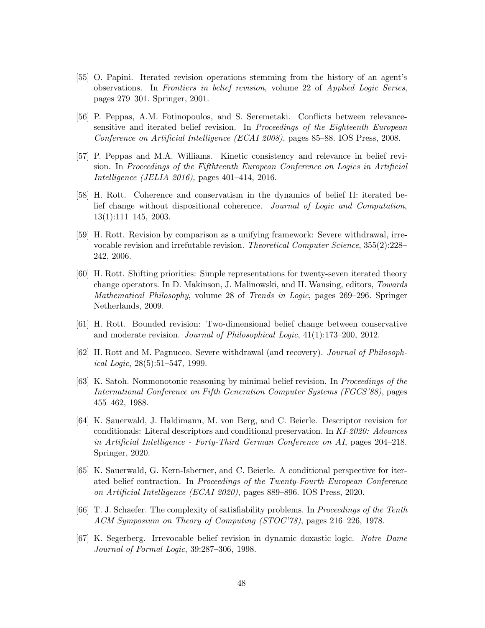- <span id="page-47-1"></span>[55] O. Papini. Iterated revision operations stemming from the history of an agent's observations. In Frontiers in belief revision, volume 22 of Applied Logic Series, pages 279–301. Springer, 2001.
- <span id="page-47-4"></span>[56] P. Peppas, A.M. Fotinopoulos, and S. Seremetaki. Conflicts between relevancesensitive and iterated belief revision. In Proceedings of the Eighteenth European Conference on Artificial Intelligence (ECAI 2008), pages 85–88. IOS Press, 2008.
- <span id="page-47-8"></span>[57] P. Peppas and M.A. Williams. Kinetic consistency and relevance in belief revision. In Proceedings of the Fifthteenth European Conference on Logics in Artificial Intelligence (JELIA 2016), pages 401–414, 2016.
- <span id="page-47-5"></span>[58] H. Rott. Coherence and conservatism in the dynamics of belief II: iterated belief change without dispositional coherence. Journal of Logic and Computation, 13(1):111–145, 2003.
- <span id="page-47-2"></span>[59] H. Rott. Revision by comparison as a unifying framework: Severe withdrawal, irrevocable revision and irrefutable revision. *Theoretical Computer Science*, 355(2):228– 242, 2006.
- <span id="page-47-3"></span>[60] H. Rott. Shifting priorities: Simple representations for twenty-seven iterated theory change operators. In D. Makinson, J. Malinowski, and H. Wansing, editors, Towards Mathematical Philosophy, volume 28 of Trends in Logic, pages 269–296. Springer Netherlands, 2009.
- <span id="page-47-9"></span>[61] H. Rott. Bounded revision: Two-dimensional belief change between conservative and moderate revision. Journal of Philosophical Logic, 41(1):173–200, 2012.
- <span id="page-47-12"></span><span id="page-47-6"></span>[62] H. Rott and M. Pagnucco. Severe withdrawal (and recovery). Journal of Philosophical Logic, 28(5):51–547, 1999.
- [63] K. Satoh. Nonmonotonic reasoning by minimal belief revision. In Proceedings of the International Conference on Fifth Generation Computer Systems (FGCS'88), pages 455–462, 1988.
- <span id="page-47-11"></span>[64] K. Sauerwald, J. Haldimann, M. von Berg, and C. Beierle. Descriptor revision for conditionals: Literal descriptors and conditional preservation. In KI-2020: Advances in Artificial Intelligence - Forty-Third German Conference on AI, pages 204–218. Springer, 2020.
- <span id="page-47-0"></span>[65] K. Sauerwald, G. Kern-Isberner, and C. Beierle. A conditional perspective for iterated belief contraction. In Proceedings of the Twenty-Fourth European Conference on Artificial Intelligence (ECAI 2020), pages 889–896. IOS Press, 2020.
- <span id="page-47-10"></span>[66] T. J. Schaefer. The complexity of satisfiability problems. In Proceedings of the Tenth ACM Symposium on Theory of Computing (STOC'78), pages 216–226, 1978.
- <span id="page-47-7"></span>[67] K. Segerberg. Irrevocable belief revision in dynamic doxastic logic. Notre Dame Journal of Formal Logic, 39:287–306, 1998.